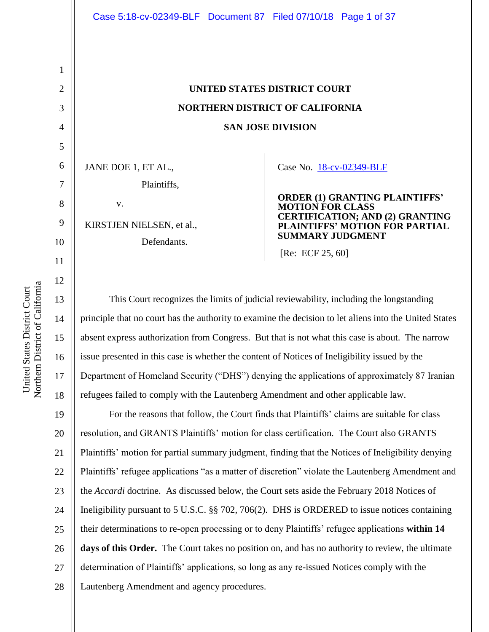4 5 6 7 8 9 JANE DOE 1, ET AL., v.

1

2

3

10

11

# **UNITED STATES DISTRICT COURT NORTHERN DISTRICT OF CALIFORNIA SAN JOSE DIVISION**

Case No. [18-cv-02349-BLF](https://ecf.cand.uscourts.gov/cgi-bin/DktRpt.pl?325523) 

| Plaintiffs,               |                                                                                 |
|---------------------------|---------------------------------------------------------------------------------|
| $V_{-}$                   | <b>ORDER (1) GRANTING PLAINTIFFS'</b><br><b>MOTION FOR CLASS</b>                |
| KIRSTJEN NIELSEN, et al., | <b>CERTIFICATION; AND (2) GRANTING</b><br><b>PLAINTIFFS' MOTION FOR PARTIAL</b> |
| Defendants.               | <b>SUMMARY JUDGMENT</b>                                                         |
|                           | [Re: ECF 25, 60]                                                                |

12 13 14 15 16 17 18 This Court recognizes the limits of judicial reviewability, including the longstanding principle that no court has the authority to examine the decision to let aliens into the United States absent express authorization from Congress. But that is not what this case is about. The narrow issue presented in this case is whether the content of Notices of Ineligibility issued by the Department of Homeland Security ("DHS") denying the applications of approximately 87 Iranian refugees failed to comply with the Lautenberg Amendment and other applicable law.

19 20 21 22 23 24 25 26 27 28 For the reasons that follow, the Court finds that Plaintiffs' claims are suitable for class resolution, and GRANTS Plaintiffs' motion for class certification. The Court also GRANTS Plaintiffs' motion for partial summary judgment, finding that the Notices of Ineligibility denying Plaintiffs' refugee applications "as a matter of discretion" violate the Lautenberg Amendment and the *Accardi* doctrine. As discussed below, the Court sets aside the February 2018 Notices of Ineligibility pursuant to 5 U.S.C. §§ 702, 706(2). DHS is ORDERED to issue notices containing their determinations to re-open processing or to deny Plaintiffs' refugee applications **within 14**  days of this Order. The Court takes no position on, and has no authority to review, the ultimate determination of Plaintiffs' applications, so long as any re-issued Notices comply with the Lautenberg Amendment and agency procedures.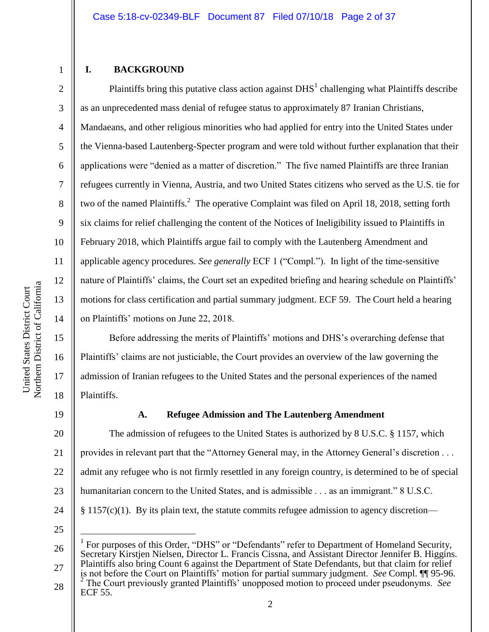#### **I. BACKGROUND**

1

2

3

4

5

6

7

8

9

10

11

12

13

14

15

16

17

18

Plaintiffs bring this putative class action against  $DHS<sup>1</sup>$  challenging what Plaintiffs describe as an unprecedented mass denial of refugee status to approximately 87 Iranian Christians, Mandaeans, and other religious minorities who had applied for entry into the United States under the Vienna-based Lautenberg-Specter program and were told without further explanation that their applications were "denied as a matter of discretion." The five named Plaintiffs are three Iranian refugees currently in Vienna, Austria, and two United States citizens who served as the U.S. tie for two of the named Plaintiffs.<sup>2</sup> The operative Complaint was filed on April 18, 2018, setting forth six claims for relief challenging the content of the Notices of Ineligibility issued to Plaintiffs in February 2018, which Plaintiffs argue fail to comply with the Lautenberg Amendment and applicable agency procedures. *See generally* ECF 1 ("Compl."). In light of the time-sensitive nature of Plaintiffs' claims, the Court set an expedited briefing and hearing schedule on Plaintiffs' motions for class certification and partial summary judgment. ECF 59. The Court held a hearing on Plaintiffs' motions on June 22, 2018.

Before addressing the merits of Plaintiffs' motions and DHS's overarching defense that Plaintiffs' claims are not justiciable, the Court provides an overview of the law governing the admission of Iranian refugees to the United States and the personal experiences of the named Plaintiffs.

19

# **A. Refugee Admission and The Lautenberg Amendment**

20 21 22 23 24 The admission of refugees to the United States is authorized by 8 U.S.C. § 1157, which provides in relevant part that the "Attorney General may, in the Attorney General's discretion . . . admit any refugee who is not firmly resettled in any foreign country, is determined to be of special humanitarian concern to the United States, and is admissible . . . as an immigrant." 8 U.S.C.  $§$  1157(c)(1). By its plain text, the statute commits refugee admission to agency discretion—

25

 $\overline{a}$ 

<sup>26</sup> 27 28 1 For purposes of this Order, "DHS" or "Defendants" refer to Department of Homeland Security, Secretary Kirstjen Nielsen, Director L. Francis Cissna, and Assistant Director Jennifer B. Higgins. Plaintiffs also bring Count 6 against the Department of State Defendants, but that claim for relief is not before the Court on Plaintiffs' motion for partial summary judgment. *See* Compl. ¶¶ 95-96. 2 The Court previously granted Plaintiffs' unopposed motion to proceed under pseudonyms. *See*  ECF 55.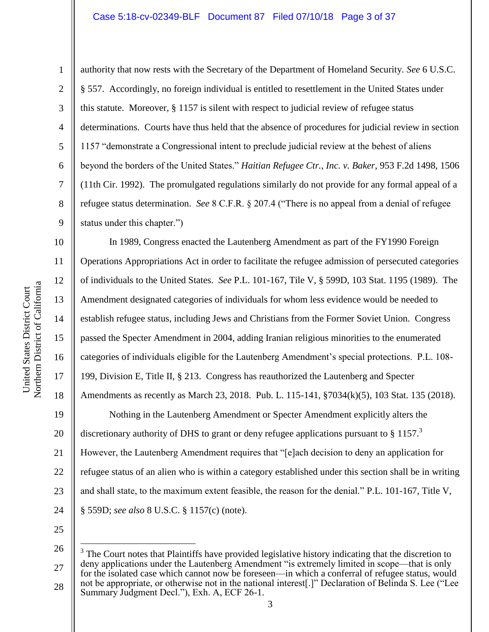#### Case 5:18-cv-02349-BLF Document 87 Filed 07/10/18 Page 3 of 37

1

2

3

4

5

6

7

8

9

10

11

12

13

14

15

16

17

18

19

20

21

authority that now rests with the Secretary of the Department of Homeland Security. *See* 6 U.S.C. § 557. Accordingly, no foreign individual is entitled to resettlement in the United States under this statute. Moreover, § 1157 is silent with respect to judicial review of refugee status determinations. Courts have thus held that the absence of procedures for judicial review in section 1157 "demonstrate a Congressional intent to preclude judicial review at the behest of aliens beyond the borders of the United States." *Haitian Refugee Ctr., Inc. v. Baker*, 953 F.2d 1498, 1506 (11th Cir. 1992). The promulgated regulations similarly do not provide for any formal appeal of a refugee status determination. *See* 8 C.F.R. § 207.4 ("There is no appeal from a denial of refugee status under this chapter.")

In 1989, Congress enacted the Lautenberg Amendment as part of the FY1990 Foreign Operations Appropriations Act in order to facilitate the refugee admission of persecuted categories of individuals to the United States. *See* P.L. 101-167, Tile V, § 599D, 103 Stat. 1195 (1989). The Amendment designated categories of individuals for whom less evidence would be needed to establish refugee status, including Jews and Christians from the Former Soviet Union. Congress passed the Specter Amendment in 2004, adding Iranian religious minorities to the enumerated categories of individuals eligible for the Lautenberg Amendment's special protections. P.L. 108- 199, Division E, Title II, § 213. Congress has reauthorized the Lautenberg and Specter Amendments as recently as March 23, 2018. Pub. L. 115-141, §7034(k)(5), 103 Stat. 135 (2018). Nothing in the Lautenberg Amendment or Specter Amendment explicitly alters the discretionary authority of DHS to grant or deny refugee applications pursuant to  $\S 1157$ .<sup>3</sup> However, the Lautenberg Amendment requires that "[e]ach decision to deny an application for

22 23 24 refugee status of an alien who is within a category established under this section shall be in writing and shall state, to the maximum extent feasible, the reason for the denial." P.L. 101-167, Title V,

§ 559D; *see also* 8 U.S.C. § 1157(c) (note).

25

 $\overline{a}$ 

<sup>26</sup> 27 28  $3$  The Court notes that Plaintiffs have provided legislative history indicating that the discretion to deny applications under the Lautenberg Amendment "is extremely limited in scope—that is only for the isolated case which cannot now be foreseen—in which a conferral of refugee status, would not be appropriate, or otherwise not in the national interest[.]" Declaration of Belinda S. Lee ("Lee Summary Judgment Decl."), Exh. A, ECF 26-1.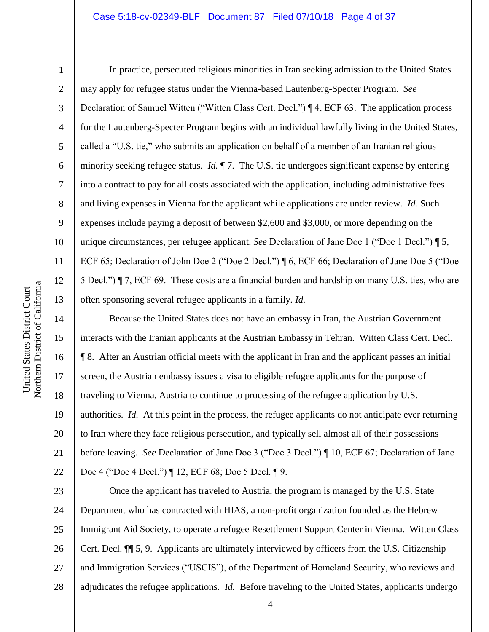#### Case 5:18-cv-02349-BLF Document 87 Filed 07/10/18 Page 4 of 37

1

2

3

4

5

6

7

8

9

10

11

12

13

14

15

16

17

18

19

20

21

22

In practice, persecuted religious minorities in Iran seeking admission to the United States may apply for refugee status under the Vienna-based Lautenberg-Specter Program. *See*  Declaration of Samuel Witten ("Witten Class Cert. Decl.") ¶ 4, ECF 63. The application process for the Lautenberg-Specter Program begins with an individual lawfully living in the United States, called a "U.S. tie," who submits an application on behalf of a member of an Iranian religious minority seeking refugee status. *Id.* 17. The U.S. tie undergoes significant expense by entering into a contract to pay for all costs associated with the application, including administrative fees and living expenses in Vienna for the applicant while applications are under review. *Id.* Such expenses include paying a deposit of between \$2,600 and \$3,000, or more depending on the unique circumstances, per refugee applicant. *See* Declaration of Jane Doe 1 ("Doe 1 Decl.") ¶ 5, ECF 65; Declaration of John Doe 2 ("Doe 2 Decl.") ¶ 6, ECF 66; Declaration of Jane Doe 5 ("Doe 5 Decl.") ¶ 7, ECF 69. These costs are a financial burden and hardship on many U.S. ties, who are often sponsoring several refugee applicants in a family. *Id.* 

Because the United States does not have an embassy in Iran, the Austrian Government interacts with the Iranian applicants at the Austrian Embassy in Tehran. Witten Class Cert. Decl. ¶ 8. After an Austrian official meets with the applicant in Iran and the applicant passes an initial screen, the Austrian embassy issues a visa to eligible refugee applicants for the purpose of traveling to Vienna, Austria to continue to processing of the refugee application by U.S. authorities. *Id.* At this point in the process, the refugee applicants do not anticipate ever returning to Iran where they face religious persecution, and typically sell almost all of their possessions before leaving. *See* Declaration of Jane Doe 3 ("Doe 3 Decl.") ¶ 10, ECF 67; Declaration of Jane Doe 4 ("Doe 4 Decl.") ¶ 12, ECF 68; Doe 5 Decl. ¶ 9.

23 24 25 26 27 28 Once the applicant has traveled to Austria, the program is managed by the U.S. State Department who has contracted with HIAS, a non-profit organization founded as the Hebrew Immigrant Aid Society, to operate a refugee Resettlement Support Center in Vienna. Witten Class Cert. Decl. ¶¶ 5, 9. Applicants are ultimately interviewed by officers from the U.S. Citizenship and Immigration Services ("USCIS"), of the Department of Homeland Security, who reviews and adjudicates the refugee applications. *Id.* Before traveling to the United States, applicants undergo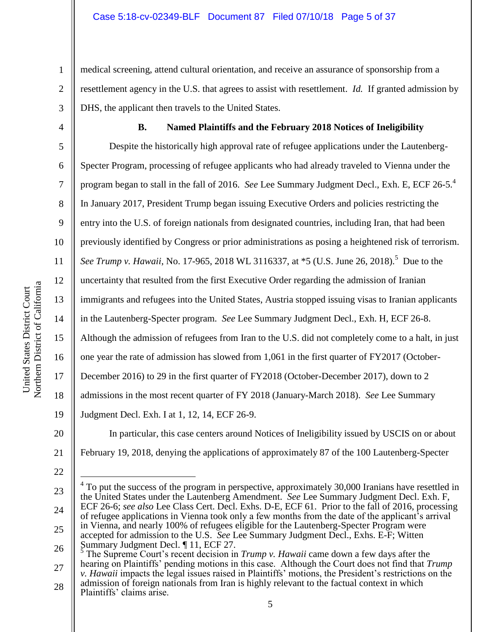medical screening, attend cultural orientation, and receive an assurance of sponsorship from a resettlement agency in the U.S. that agrees to assist with resettlement. *Id.* If granted admission by DHS, the applicant then travels to the United States.

4 5 6

1

2

3

### **B. Named Plaintiffs and the February 2018 Notices of Ineligibility**

7 8 9 10 11 12 13 14 15 16 17 18 19 Despite the historically high approval rate of refugee applications under the Lautenberg-Specter Program, processing of refugee applicants who had already traveled to Vienna under the program began to stall in the fall of 2016. *See* Lee Summary Judgment Decl., Exh. E, ECF 26-5.<sup>4</sup> In January 2017, President Trump began issuing Executive Orders and policies restricting the entry into the U.S. of foreign nationals from designated countries, including Iran, that had been previously identified by Congress or prior administrations as posing a heightened risk of terrorism. See Trump v. Hawaii, No. 17-965, 2018 WL 3116337, at \*5 (U.S. June 26, 2018).<sup>5</sup> Due to the uncertainty that resulted from the first Executive Order regarding the admission of Iranian immigrants and refugees into the United States, Austria stopped issuing visas to Iranian applicants in the Lautenberg-Specter program. *See* Lee Summary Judgment Decl., Exh. H, ECF 26-8. Although the admission of refugees from Iran to the U.S. did not completely come to a halt, in just one year the rate of admission has slowed from 1,061 in the first quarter of FY2017 (October-December 2016) to 29 in the first quarter of FY2018 (October-December 2017), down to 2 admissions in the most recent quarter of FY 2018 (January-March 2018). *See* Lee Summary Judgment Decl. Exh. I at 1, 12, 14, ECF 26-9.

20

22

21 February 19, 2018, denying the applications of approximately 87 of the 100 Lautenberg-Specter

In particular, this case centers around Notices of Ineligibility issued by USCIS on or about

<sup>23</sup> 24 25 26 27 28  $\overline{a}$ 4 To put the success of the program in perspective, approximately 30,000 Iranians have resettled in the United States under the Lautenberg Amendment. *See* Lee Summary Judgment Decl. Exh. F, ECF 26-6; *see also* Lee Class Cert. Decl. Exhs. D-E, ECF 61. Prior to the fall of 2016, processing of refugee applications in Vienna took only a few months from the date of the applicant's arrival in Vienna, and nearly 100% of refugees eligible for the Lautenberg-Specter Program were accepted for admission to the U.S. *See* Lee Summary Judgment Decl., Exhs. E-F; Witten Summary Judgment Decl. 11, ECF 27. The Supreme Court's recent decision in *Trump v. Hawaii* came down a few days after the hearing on Plaintiffs' pending motions in this case. Although the Court does not find that *Trump v. Hawaii* impacts the legal issues raised in Plaintiffs' motions, the President's restrictions on the admission of foreign nationals from Iran is highly relevant to the factual context in which Plaintiffs' claims arise.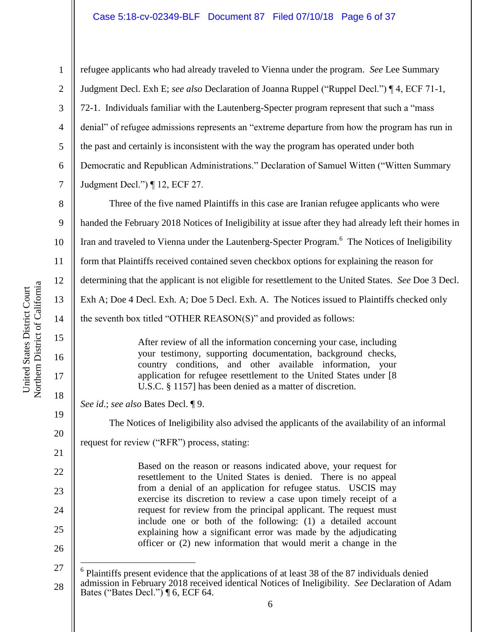#### Case 5:18-cv-02349-BLF Document 87 Filed 07/10/18 Page 6 of 37

15

16

17

18

19

20

21

22

23

24

25

26

 $\overline{a}$ 

1

2

3

4

5

6

7

refugee applicants who had already traveled to Vienna under the program. *See* Lee Summary Judgment Decl. Exh E; *see also* Declaration of Joanna Ruppel ("Ruppel Decl.") ¶ 4, ECF 71-1, 72-1. Individuals familiar with the Lautenberg-Specter program represent that such a "mass denial" of refugee admissions represents an "extreme departure from how the program has run in the past and certainly is inconsistent with the way the program has operated under both Democratic and Republican Administrations." Declaration of Samuel Witten ("Witten Summary Judgment Decl.") ¶ 12, ECF 27.

8 9 10 11 12 13 14 Three of the five named Plaintiffs in this case are Iranian refugee applicants who were handed the February 2018 Notices of Ineligibility at issue after they had already left their homes in Iran and traveled to Vienna under the Lautenberg-Specter Program.<sup>6</sup> The Notices of Ineligibility form that Plaintiffs received contained seven checkbox options for explaining the reason for determining that the applicant is not eligible for resettlement to the United States. *See* Doe 3 Decl. Exh A; Doe 4 Decl. Exh. A; Doe 5 Decl. Exh. A. The Notices issued to Plaintiffs checked only the seventh box titled "OTHER REASON(S)" and provided as follows:

> After review of all the information concerning your case, including your testimony, supporting documentation, background checks, country conditions, and other available information, your application for refugee resettlement to the United States under [8 U.S.C. § 1157] has been denied as a matter of discretion.

*See id*.; *see also* Bates Decl. ¶ 9.

The Notices of Ineligibility also advised the applicants of the availability of an informal

request for review ("RFR") process, stating:

Based on the reason or reasons indicated above, your request for resettlement to the United States is denied. There is no appeal from a denial of an application for refugee status. USCIS may exercise its discretion to review a case upon timely receipt of a request for review from the principal applicant. The request must include one or both of the following: (1) a detailed account explaining how a significant error was made by the adjudicating officer or (2) new information that would merit a change in the

<sup>27</sup> 28  $6$  Plaintiffs present evidence that the applications of at least 38 of the 87 individuals denied admission in February 2018 received identical Notices of Ineligibility. *See* Declaration of Adam Bates ("Bates Decl.") ¶ 6, ECF 64.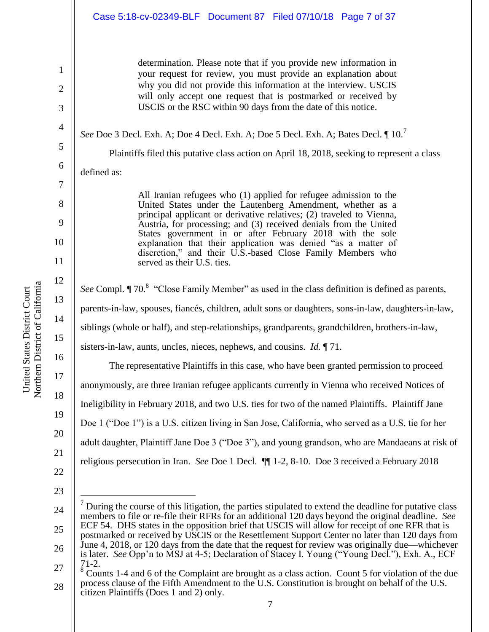## Case 5:18-cv-02349-BLF Document 87 Filed 07/10/18 Page 7 of 37

determination. Please note that if you provide new information in your request for review, you must provide an explanation about why you did not provide this information at the interview. USCIS will only accept one request that is postmarked or received by USCIS or the RSC within 90 days from the date of this notice.

*See* Doe 3 Decl. Exh. A; Doe 4 Decl. Exh. A; Doe 5 Decl. Exh. A; Bates Decl. ¶ 10.<sup>7</sup>

Plaintiffs filed this putative class action on April 18, 2018, seeking to represent a class

defined as:

1

2

3

4

5

6

7

8

9

10

11

12

13

14

15

16

17

18

19

20

21

All Iranian refugees who (1) applied for refugee admission to the United States under the Lautenberg Amendment, whether as a principal applicant or derivative relatives; (2) traveled to Vienna, Austria, for processing; and (3) received denials from the United States government in or after February 2018 with the sole explanation that their application was denied "as a matter of discretion," and their U.S.-based Close Family Members who served as their U.S. ties.

See Compl. *[1]* 70.<sup>8</sup> "Close Family Member" as used in the class definition is defined as parents, parents-in-law, spouses, fiancés, children, adult sons or daughters, sons-in-law, daughters-in-law, siblings (whole or half), and step-relationships, grandparents, grandchildren, brothers-in-law, sisters-in-law, aunts, uncles, nieces, nephews, and cousins. *Id.* ¶ 71.

The representative Plaintiffs in this case, who have been granted permission to proceed anonymously, are three Iranian refugee applicants currently in Vienna who received Notices of Ineligibility in February 2018, and two U.S. ties for two of the named Plaintiffs. Plaintiff Jane Doe 1 ("Doe 1") is a U.S. citizen living in San Jose, California, who served as a U.S. tie for her adult daughter, Plaintiff Jane Doe 3 ("Doe 3"), and young grandson, who are Mandaeans at risk of religious persecution in Iran. *See* Doe 1 Decl. ¶¶ 1-2, 8-10. Doe 3 received a February 2018

- 22
- 23

 $\overline{a}$ 

<sup>24</sup> 25 26 27  $<sup>7</sup>$  During the course of this litigation, the parties stipulated to extend the deadline for putative class</sup> members to file or re-file their RFRs for an additional 120 days beyond the original deadline. *See*  ECF 54. DHS states in the opposition brief that USCIS will allow for receipt of one RFR that is postmarked or received by USCIS or the Resettlement Support Center no later than 120 days from June 4, 2018, or 120 days from the date that the request for review was originally due—whichever is later. *See* Opp'n to MSJ at 4-5; Declaration of Stacey I. Young ("Young Decl."), Exh. A., ECF 71-2.

<sup>28</sup> <sup>8</sup> Counts 1-4 and 6 of the Complaint are brought as a class action. Count 5 for violation of the due process clause of the Fifth Amendment to the U.S. Constitution is brought on behalf of the U.S.

citizen Plaintiffs (Does 1 and 2) only.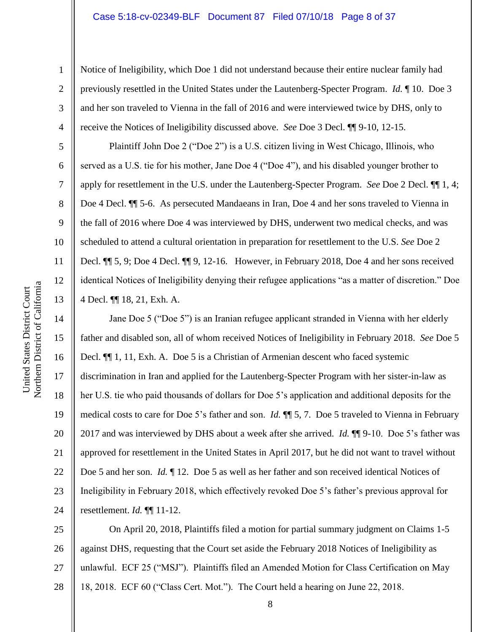#### Case 5:18-cv-02349-BLF Document 87 Filed 07/10/18 Page 8 of 37

Notice of Ineligibility, which Doe 1 did not understand because their entire nuclear family had previously resettled in the United States under the Lautenberg-Specter Program. *Id.* ¶ 10. Doe 3 and her son traveled to Vienna in the fall of 2016 and were interviewed twice by DHS, only to receive the Notices of Ineligibility discussed above. *See* Doe 3 Decl. ¶¶ 9-10, 12-15.

Plaintiff John Doe 2 ("Doe 2") is a U.S. citizen living in West Chicago, Illinois, who served as a U.S. tie for his mother, Jane Doe 4 ("Doe 4"), and his disabled younger brother to apply for resettlement in the U.S. under the Lautenberg-Specter Program. *See* Doe 2 Decl. ¶¶ 1, 4; Doe 4 Decl. ¶¶ 5-6. As persecuted Mandaeans in Iran, Doe 4 and her sons traveled to Vienna in the fall of 2016 where Doe 4 was interviewed by DHS, underwent two medical checks, and was scheduled to attend a cultural orientation in preparation for resettlement to the U.S. *See* Doe 2 Decl. ¶¶ 5, 9; Doe 4 Decl. ¶¶ 9, 12-16. However, in February 2018, Doe 4 and her sons received identical Notices of Ineligibility denying their refugee applications "as a matter of discretion." Doe 4 Decl. ¶¶ 18, 21, Exh. A.

14 16 20 22 23 24 Jane Doe 5 ("Doe 5") is an Iranian refugee applicant stranded in Vienna with her elderly father and disabled son, all of whom received Notices of Ineligibility in February 2018. *See* Doe 5 Decl.  $\P$  1, 11, Exh. A. Doe 5 is a Christian of Armenian descent who faced systemic discrimination in Iran and applied for the Lautenberg-Specter Program with her sister-in-law as her U.S. tie who paid thousands of dollars for Doe 5's application and additional deposits for the medical costs to care for Doe 5's father and son. *Id.* ¶¶ 5, 7. Doe 5 traveled to Vienna in February 2017 and was interviewed by DHS about a week after she arrived. *Id.* ¶¶ 9-10. Doe 5's father was approved for resettlement in the United States in April 2017, but he did not want to travel without Doe 5 and her son. *Id.* 12. Doe 5 as well as her father and son received identical Notices of Ineligibility in February 2018, which effectively revoked Doe 5's father's previous approval for resettlement. *Id.* ¶¶ 11-12.

25 26 27 28 On April 20, 2018, Plaintiffs filed a motion for partial summary judgment on Claims 1-5 against DHS, requesting that the Court set aside the February 2018 Notices of Ineligibility as unlawful. ECF 25 ("MSJ"). Plaintiffs filed an Amended Motion for Class Certification on May 18, 2018. ECF 60 ("Class Cert. Mot."). The Court held a hearing on June 22, 2018.

1

2

3

4

5

6

7

8

9

10

11

12

13

15

17

18

19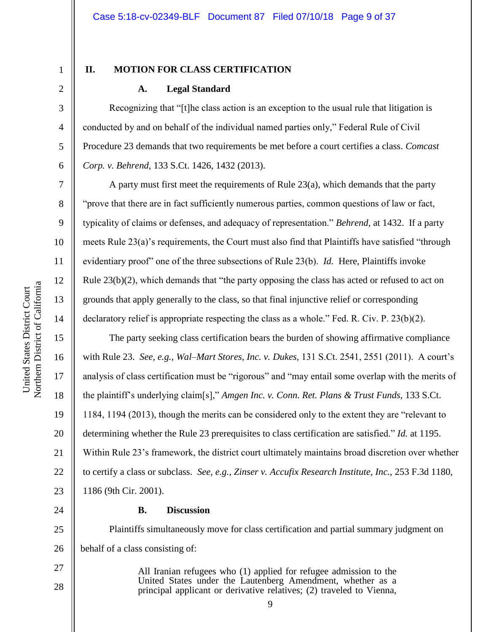3

4

5

6

7

8

9

10

11

12

13

14

15

16

17

18

19

20

21

22

23

24

27

28

# **II. MOTION FOR CLASS CERTIFICATION**

#### **A. Legal Standard**

Recognizing that "[t]he class action is an exception to the usual rule that litigation is conducted by and on behalf of the individual named parties only," Federal Rule of Civil Procedure 23 demands that two requirements be met before a court certifies a class. *Comcast Corp. v. Behrend,* 133 S.Ct. 1426, 1432 (2013).

A party must first meet the requirements of Rule 23(a), which demands that the party "prove that there are in fact sufficiently numerous parties, common questions of law or fact, typicality of claims or defenses, and adequacy of representation." *Behrend,* at 1432. If a party meets Rule 23(a)'s requirements, the Court must also find that Plaintiffs have satisfied "through evidentiary proof" one of the three subsections of Rule 23(b). *Id.* Here, Plaintiffs invoke Rule 23(b)(2), which demands that "the party opposing the class has acted or refused to act on grounds that apply generally to the class, so that final injunctive relief or corresponding declaratory relief is appropriate respecting the class as a whole." Fed. R. Civ. P. 23(b)(2).

The party seeking class certification bears the burden of showing affirmative compliance with Rule 23. *See, e.g., Wal–Mart Stores, Inc. v. Dukes,* 131 S.Ct. 2541, 2551 (2011). A court's analysis of class certification must be "rigorous" and "may entail some overlap with the merits of the plaintiff's underlying claim[s]," *Amgen Inc. v. Conn. Ret. Plans & Trust Funds,* 133 S.Ct. 1184, 1194 (2013), though the merits can be considered only to the extent they are "relevant to determining whether the Rule 23 prerequisites to class certification are satisfied." *Id.* at 1195. Within Rule 23's framework, the district court ultimately maintains broad discretion over whether to certify a class or subclass. *See, e.g., Zinser v. Accufix Research Institute, Inc.,* 253 F.3d 1180, 1186 (9th Cir. 2001).

#### **B. Discussion**

25 26 Plaintiffs simultaneously move for class certification and partial summary judgment on behalf of a class consisting of:

> All Iranian refugees who (1) applied for refugee admission to the United States under the Lautenberg Amendment, whether as a principal applicant or derivative relatives; (2) traveled to Vienna,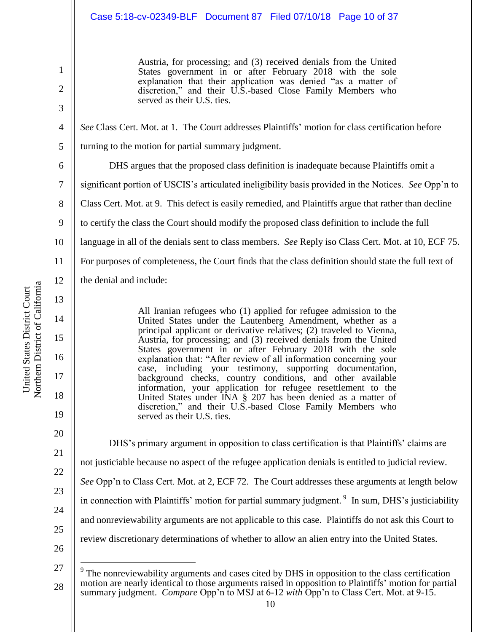# Case 5:18-cv-02349-BLF Document 87 Filed 07/10/18 Page 10 of 37

Austria, for processing; and (3) received denials from the United States government in or after February 2018 with the sole explanation that their application was denied "as a matter of discretion," and their U.S.-based Close Family Members who served as their U.S. ties.

*See* Class Cert. Mot. at 1. The Court addresses Plaintiffs' motion for class certification before turning to the motion for partial summary judgment.

6 7 8 9 10 11 12 13 DHS argues that the proposed class definition is inadequate because Plaintiffs omit a significant portion of USCIS's articulated ineligibility basis provided in the Notices. *See* Opp'n to Class Cert. Mot. at 9. This defect is easily remedied, and Plaintiffs argue that rather than decline to certify the class the Court should modify the proposed class definition to include the full language in all of the denials sent to class members. *See* Reply iso Class Cert. Mot. at 10, ECF 75. For purposes of completeness, the Court finds that the class definition should state the full text of the denial and include:

All Iranian refugees who (1) applied for refugee admission to the United States under the Lautenberg Amendment, whether as a principal applicant or derivative relatives; (2) traveled to Vienna, Austria, for processing; and (3) received denials from the United States government in or after February 2018 with the sole explanation that: "After review of all information concerning your case, including your testimony, supporting documentation, background checks, country conditions, and other available information, your application for refugee resettlement to the United States under INA § 207 has been denied as a matter of discretion," and their U.S.-based Close Family Members who served as their U.S. ties.

DHS's primary argument in opposition to class certification is that Plaintiffs' claims are not justiciable because no aspect of the refugee application denials is entitled to judicial review. *See* Opp'n to Class Cert. Mot. at 2, ECF 72. The Court addresses these arguments at length below in connection with Plaintiffs' motion for partial summary judgment.<sup>9</sup> In sum, DHS's justiciability and nonreviewability arguments are not applicable to this case. Plaintiffs do not ask this Court to review discretionary determinations of whether to allow an alien entry into the United States.

14

15

16

17

18

19

20

21

22

23

24

25

26

 $\overline{a}$ 

1

2

3

4

<sup>27</sup> 28 9 The nonreviewability arguments and cases cited by DHS in opposition to the class certification motion are nearly identical to those arguments raised in opposition to Plaintiffs' motion for partial summary judgment. *Compare* Opp'n to MSJ at 6-12 *with* Opp'n to Class Cert. Mot. at 9-15.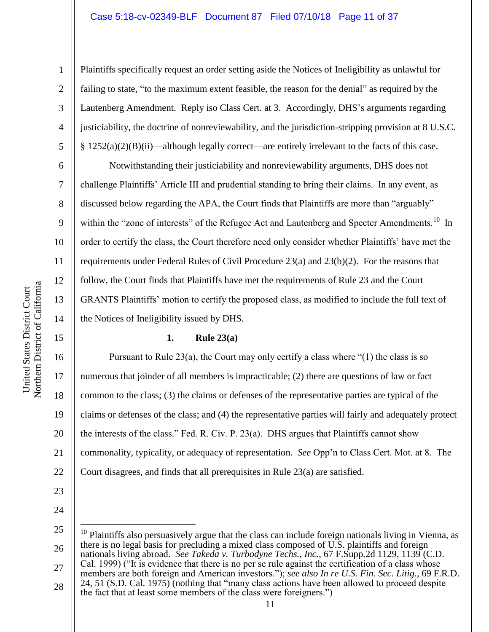Plaintiffs specifically request an order setting aside the Notices of Ineligibility as unlawful for failing to state, "to the maximum extent feasible, the reason for the denial" as required by the Lautenberg Amendment. Reply iso Class Cert. at 3. Accordingly, DHS's arguments regarding justiciability, the doctrine of nonreviewability, and the jurisdiction-stripping provision at 8 U.S.C.  $§ 1252(a)(2)(B)(ii)$ —although legally correct—are entirely irrelevant to the facts of this case.

Notwithstanding their justiciability and nonreviewability arguments, DHS does not challenge Plaintiffs' Article III and prudential standing to bring their claims. In any event, as discussed below regarding the APA, the Court finds that Plaintiffs are more than "arguably" within the "zone of interests" of the Refugee Act and Lautenberg and Specter Amendments.<sup>10</sup> In order to certify the class, the Court therefore need only consider whether Plaintiffs' have met the requirements under Federal Rules of Civil Procedure 23(a) and 23(b)(2). For the reasons that follow, the Court finds that Plaintiffs have met the requirements of Rule 23 and the Court GRANTS Plaintiffs' motion to certify the proposed class, as modified to include the full text of the Notices of Ineligibility issued by DHS.

# **1. Rule 23(a)**

16 17 18 19 20 21 22 Pursuant to Rule 23(a), the Court may only certify a class where " $(1)$  the class is so numerous that joinder of all members is impracticable; (2) there are questions of law or fact common to the class; (3) the claims or defenses of the representative parties are typical of the claims or defenses of the class; and (4) the representative parties will fairly and adequately protect the interests of the class." Fed. R. Civ. P. 23(a). DHS argues that Plaintiffs cannot show commonality, typicality, or adequacy of representation. *See* Opp'n to Class Cert. Mot. at 8. The Court disagrees, and finds that all prerequisites in Rule 23(a) are satisfied.

 $\overline{a}$ 

27 28 members are both foreign and American investors."); *see also In re U.S. Fin. Sec. Litig.*, 69 F.R.D. 24, 51 (S.D. Cal. 1975) (nothing that "many class actions have been allowed to proceed despite

1

2

3

4

5

6

7

8

9

10

11

12

13

14

<sup>23</sup> 24

<sup>25</sup> 26  $10$  Plaintiffs also persuasively argue that the class can include foreign nationals living in Vienna, as there is no legal basis for precluding a mixed class composed of U.S. plaintiffs and foreign nationals living abroad. *See Takeda v. Turbodyne Techs., Inc.*, 67 F.Supp.2d 1129, 1139 (C.D. Cal. 1999) ("It is evidence that there is no per se rule against the certification of a class whose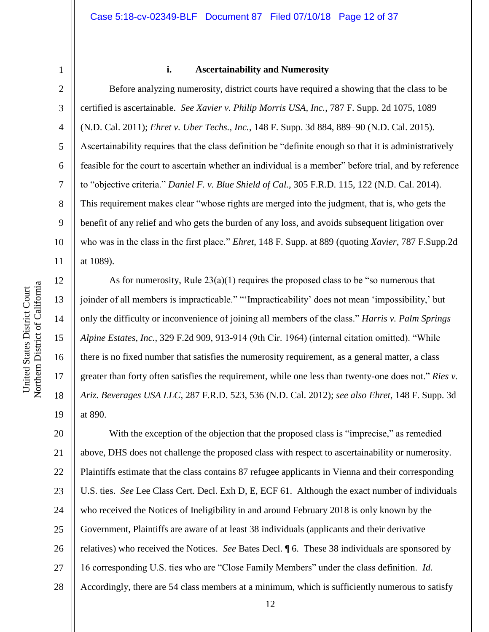4

5

6

7

8

9

10

11

12

13

14

15

16

17

18

19

#### **i. Ascertainability and Numerosity**

Before analyzing numerosity, district courts have required a showing that the class to be certified is ascertainable. *See Xavier v. Philip Morris USA, Inc.*, 787 F. Supp. 2d 1075, 1089 (N.D. Cal. 2011); *Ehret v. Uber Techs., Inc.*, 148 F. Supp. 3d 884, 889–90 (N.D. Cal. 2015). Ascertainability requires that the class definition be "definite enough so that it is administratively feasible for the court to ascertain whether an individual is a member" before trial, and by reference to "objective criteria." *Daniel F. v. Blue Shield of Cal.*, 305 F.R.D. 115, 122 (N.D. Cal. 2014). This requirement makes clear "whose rights are merged into the judgment, that is, who gets the benefit of any relief and who gets the burden of any loss, and avoids subsequent litigation over who was in the class in the first place." *Ehret*, 148 F. Supp. at 889 (quoting *Xavier*, 787 F.Supp.2d at 1089).

As for numerosity, Rule  $23(a)(1)$  requires the proposed class to be "so numerous that joinder of all members is impracticable." "'Impracticability' does not mean 'impossibility,' but only the difficulty or inconvenience of joining all members of the class." *Harris v. Palm Springs Alpine Estates, Inc.*, 329 F.2d 909, 913-914 (9th Cir. 1964) (internal citation omitted). "While there is no fixed number that satisfies the numerosity requirement, as a general matter, a class greater than forty often satisfies the requirement, while one less than twenty-one does not." *Ries v. Ariz. Beverages USA LLC*, 287 F.R.D. 523, 536 (N.D. Cal. 2012); *see also Ehret*, 148 F. Supp. 3d at 890.

20 21 22 23 24 25 26 27 28 With the exception of the objection that the proposed class is "imprecise," as remedied above, DHS does not challenge the proposed class with respect to ascertainability or numerosity. Plaintiffs estimate that the class contains 87 refugee applicants in Vienna and their corresponding U.S. ties. *See* Lee Class Cert. Decl. Exh D, E, ECF 61. Although the exact number of individuals who received the Notices of Ineligibility in and around February 2018 is only known by the Government, Plaintiffs are aware of at least 38 individuals (applicants and their derivative relatives) who received the Notices. *See* Bates Decl. ¶ 6. These 38 individuals are sponsored by 16 corresponding U.S. ties who are "Close Family Members" under the class definition. *Id.*  Accordingly, there are 54 class members at a minimum, which is sufficiently numerous to satisfy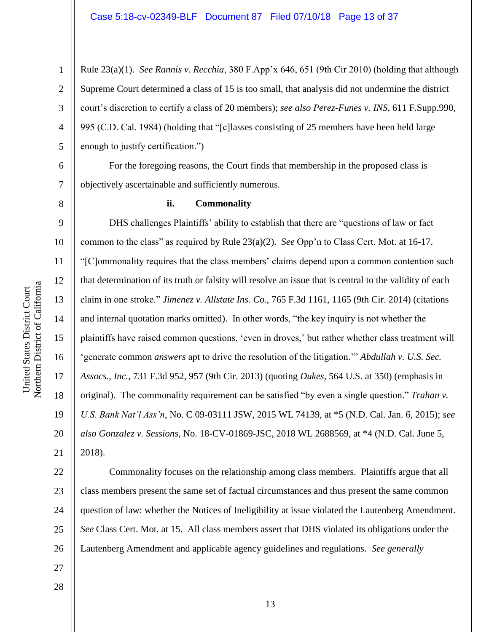Rule 23(a)(1). *See Rannis v. Recchia*, 380 F.App'x 646, 651 (9th Cir 2010) (holding that although Supreme Court determined a class of 15 is too small, that analysis did not undermine the district court's discretion to certify a class of 20 members); *see also Perez-Funes v. INS*, 611 F.Supp.990, 995 (C.D. Cal. 1984) (holding that "[c]lasses consisting of 25 members have been held large enough to justify certification.")

For the foregoing reasons, the Court finds that membership in the proposed class is objectively ascertainable and sufficiently numerous.

1

2

3

4

5

6

7

8

9

10

11

12

13

14

15

17

18

19

20

21

#### **ii. Commonality**

16 DHS challenges Plaintiffs' ability to establish that there are "questions of law or fact common to the class" as required by Rule 23(a)(2). *See* Opp'n to Class Cert. Mot. at 16-17. "[C]ommonality requires that the class members' claims depend upon a common contention such that determination of its truth or falsity will resolve an issue that is central to the validity of each claim in one stroke." *Jimenez v. Allstate Ins. Co.*, 765 F.3d 1161, 1165 (9th Cir. 2014) (citations and internal quotation marks omitted). In other words, "the key inquiry is not whether the plaintiffs have raised common questions, 'even in droves,' but rather whether class treatment will 'generate common *answers* apt to drive the resolution of the litigation.'" *Abdullah v. U.S. Sec. Assocs., Inc.*, 731 F.3d 952, 957 (9th Cir. 2013) (quoting *Dukes*, 564 U.S. at 350) (emphasis in original). The commonality requirement can be satisfied "by even a single question." *Trahan v. U.S. Bank Nat'l Ass'n*, No. C 09-03111 JSW, 2015 WL 74139, at \*5 (N.D. Cal. Jan. 6, 2015); *see also Gonzalez v. Sessions*, No. 18-CV-01869-JSC, 2018 WL 2688569, at \*4 (N.D. Cal. June 5, 2018).

22 23 24 25 26 Commonality focuses on the relationship among class members. Plaintiffs argue that all class members present the same set of factual circumstances and thus present the same common question of law: whether the Notices of Ineligibility at issue violated the Lautenberg Amendment. *See* Class Cert. Mot. at 15. All class members assert that DHS violated its obligations under the Lautenberg Amendment and applicable agency guidelines and regulations. *See generally* 

Northern District of California Northern District of California United States District Court United States District Court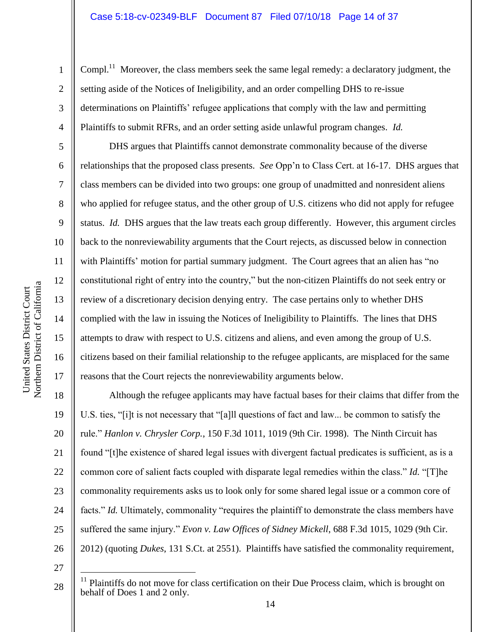Compl.<sup>11</sup> Moreover, the class members seek the same legal remedy: a declaratory judgment, the setting aside of the Notices of Ineligibility, and an order compelling DHS to re-issue determinations on Plaintiffs' refugee applications that comply with the law and permitting Plaintiffs to submit RFRs, and an order setting aside unlawful program changes. *Id.* 

DHS argues that Plaintiffs cannot demonstrate commonality because of the diverse relationships that the proposed class presents. *See* Opp'n to Class Cert. at 16-17. DHS argues that class members can be divided into two groups: one group of unadmitted and nonresident aliens who applied for refugee status, and the other group of U.S. citizens who did not apply for refugee status. *Id.* DHS argues that the law treats each group differently. However, this argument circles back to the nonreviewability arguments that the Court rejects, as discussed below in connection with Plaintiffs' motion for partial summary judgment. The Court agrees that an alien has "no constitutional right of entry into the country," but the non-citizen Plaintiffs do not seek entry or review of a discretionary decision denying entry. The case pertains only to whether DHS complied with the law in issuing the Notices of Ineligibility to Plaintiffs. The lines that DHS attempts to draw with respect to U.S. citizens and aliens, and even among the group of U.S. citizens based on their familial relationship to the refugee applicants, are misplaced for the same reasons that the Court rejects the nonreviewability arguments below.

18 19 20 21 22 23 24 25 26 Although the refugee applicants may have factual bases for their claims that differ from the U.S. ties, "[i]t is not necessary that "[a]ll questions of fact and law... be common to satisfy the rule." *Hanlon v. Chrysler Corp.*, 150 F.3d 1011, 1019 (9th Cir. 1998). The Ninth Circuit has found "[t]he existence of shared legal issues with divergent factual predicates is sufficient, as is a common core of salient facts coupled with disparate legal remedies within the class." *Id.* "[T]he commonality requirements asks us to look only for some shared legal issue or a common core of facts." *Id.* Ultimately, commonality "requires the plaintiff to demonstrate the class members have suffered the same injury." *Evon v. Law Offices of Sidney Mickell*, 688 F.3d 1015, 1029 (9th Cir. 2012) (quoting *Dukes*, 131 S.Ct. at 2551). Plaintiffs have satisfied the commonality requirement,

27

 $\overline{a}$ 

28

1

2

3

4

5

6

7

8

9

10

11

12

13

14

15

16

<sup>11</sup> Plaintiffs do not move for class certification on their Due Process claim, which is brought on behalf of Does 1 and 2 only.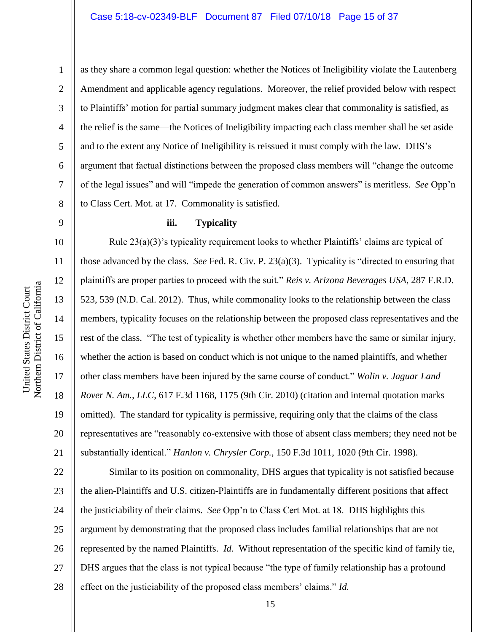9

10

11

12

13

14

15

16

17

18

19

20

21

1

as they share a common legal question: whether the Notices of Ineligibility violate the Lautenberg Amendment and applicable agency regulations. Moreover, the relief provided below with respect to Plaintiffs' motion for partial summary judgment makes clear that commonality is satisfied, as the relief is the same—the Notices of Ineligibility impacting each class member shall be set aside and to the extent any Notice of Ineligibility is reissued it must comply with the law. DHS's argument that factual distinctions between the proposed class members will "change the outcome of the legal issues" and will "impede the generation of common answers" is meritless. *See* Opp'n to Class Cert. Mot. at 17. Commonality is satisfied.

#### **iii. Typicality**

Rule  $23(a)(3)$ 's typicality requirement looks to whether Plaintiffs' claims are typical of those advanced by the class. *See* Fed. R. Civ. P. 23(a)(3). Typicality is "directed to ensuring that plaintiffs are proper parties to proceed with the suit." *Reis v. Arizona Beverages USA*, 287 F.R.D. 523, 539 (N.D. Cal. 2012). Thus, while commonality looks to the relationship between the class members, typicality focuses on the relationship between the proposed class representatives and the rest of the class. "The test of typicality is whether other members have the same or similar injury, whether the action is based on conduct which is not unique to the named plaintiffs, and whether other class members have been injured by the same course of conduct." *Wolin v. Jaguar Land Rover N. Am., LLC*, 617 F.3d 1168, 1175 (9th Cir. 2010) (citation and internal quotation marks omitted). The standard for typicality is permissive, requiring only that the claims of the class representatives are "reasonably co-extensive with those of absent class members; they need not be substantially identical." *Hanlon v. Chrysler Corp.*, 150 F.3d 1011, 1020 (9th Cir. 1998).

22 23 24 25 26 27 28 Similar to its position on commonality, DHS argues that typicality is not satisfied because the alien-Plaintiffs and U.S. citizen-Plaintiffs are in fundamentally different positions that affect the justiciability of their claims. *See* Opp'n to Class Cert Mot. at 18. DHS highlights this argument by demonstrating that the proposed class includes familial relationships that are not represented by the named Plaintiffs. *Id.* Without representation of the specific kind of family tie, DHS argues that the class is not typical because "the type of family relationship has a profound effect on the justiciability of the proposed class members' claims." *Id.*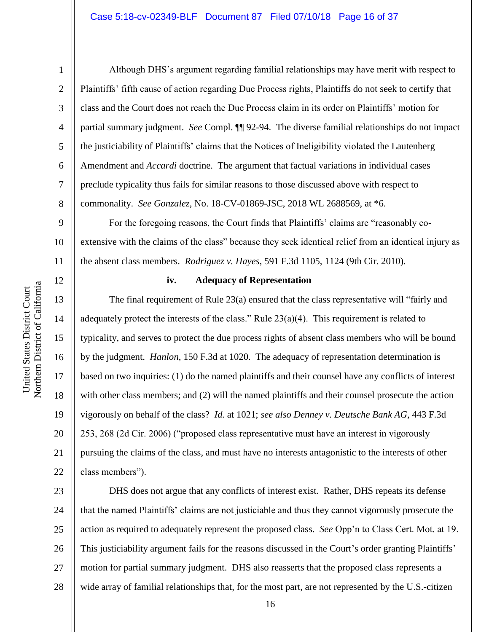2

3

4

5

6

7

8

12

13

14

15

16

17

18

19

20

21

22

Although DHS's argument regarding familial relationships may have merit with respect to Plaintiffs' fifth cause of action regarding Due Process rights, Plaintiffs do not seek to certify that class and the Court does not reach the Due Process claim in its order on Plaintiffs' motion for partial summary judgment. *See* Compl. ¶¶ 92-94. The diverse familial relationships do not impact the justiciability of Plaintiffs' claims that the Notices of Ineligibility violated the Lautenberg Amendment and *Accardi* doctrine. The argument that factual variations in individual cases preclude typicality thus fails for similar reasons to those discussed above with respect to commonality. *See Gonzalez*, No. 18-CV-01869-JSC, 2018 WL 2688569, at \*6.

9 10 11 For the foregoing reasons, the Court finds that Plaintiffs' claims are "reasonably coextensive with the claims of the class" because they seek identical relief from an identical injury as the absent class members. *Rodriguez v. Hayes*, 591 F.3d 1105, 1124 (9th Cir. 2010).

### **iv. Adequacy of Representation**

The final requirement of Rule 23(a) ensured that the class representative will "fairly and adequately protect the interests of the class." Rule  $23(a)(4)$ . This requirement is related to typicality, and serves to protect the due process rights of absent class members who will be bound by the judgment. *Hanlon*, 150 F.3d at 1020. The adequacy of representation determination is based on two inquiries: (1) do the named plaintiffs and their counsel have any conflicts of interest with other class members; and (2) will the named plaintiffs and their counsel prosecute the action vigorously on behalf of the class? *Id.* at 1021; *see also Denney v. Deutsche Bank AG*, 443 F.3d 253, 268 (2d Cir. 2006) ("proposed class representative must have an interest in vigorously pursuing the claims of the class, and must have no interests antagonistic to the interests of other class members").

23 24 25 26 27 28 DHS does not argue that any conflicts of interest exist. Rather, DHS repeats its defense that the named Plaintiffs' claims are not justiciable and thus they cannot vigorously prosecute the action as required to adequately represent the proposed class. *See* Opp'n to Class Cert. Mot. at 19. This justiciability argument fails for the reasons discussed in the Court's order granting Plaintiffs' motion for partial summary judgment. DHS also reasserts that the proposed class represents a wide array of familial relationships that, for the most part, are not represented by the U.S.-citizen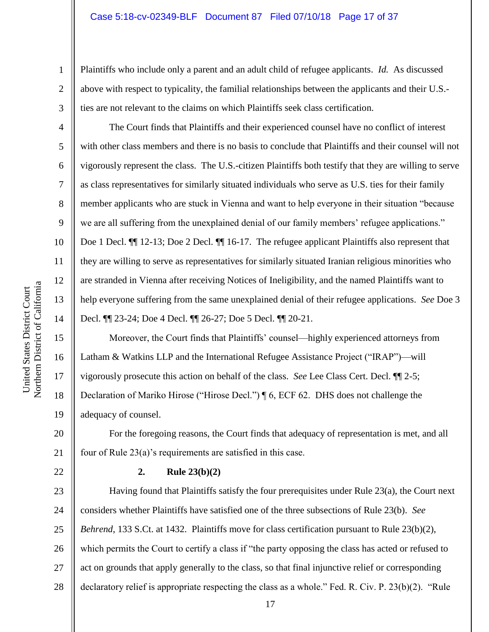Plaintiffs who include only a parent and an adult child of refugee applicants. *Id.* As discussed above with respect to typicality, the familial relationships between the applicants and their U.S. ties are not relevant to the claims on which Plaintiffs seek class certification.

The Court finds that Plaintiffs and their experienced counsel have no conflict of interest with other class members and there is no basis to conclude that Plaintiffs and their counsel will not vigorously represent the class. The U.S.-citizen Plaintiffs both testify that they are willing to serve as class representatives for similarly situated individuals who serve as U.S. ties for their family member applicants who are stuck in Vienna and want to help everyone in their situation "because we are all suffering from the unexplained denial of our family members' refugee applications." Doe 1 Decl.  $\P$  12-13; Doe 2 Decl.  $\P$  16-17. The refugee applicant Plaintiffs also represent that they are willing to serve as representatives for similarly situated Iranian religious minorities who are stranded in Vienna after receiving Notices of Ineligibility, and the named Plaintiffs want to help everyone suffering from the same unexplained denial of their refugee applications. *See* Doe 3 Decl. ¶¶ 23-24; Doe 4 Decl. ¶¶ 26-27; Doe 5 Decl. ¶¶ 20-21.

15 16 17 18 19 Moreover, the Court finds that Plaintiffs' counsel—highly experienced attorneys from Latham & Watkins LLP and the International Refugee Assistance Project ("IRAP")—will vigorously prosecute this action on behalf of the class. *See* Lee Class Cert. Decl. ¶¶ 2-5; Declaration of Mariko Hirose ("Hirose Decl.") ¶ 6, ECF 62. DHS does not challenge the adequacy of counsel.

20 21 For the foregoing reasons, the Court finds that adequacy of representation is met, and all four of Rule 23(a)'s requirements are satisfied in this case.

## **2. Rule 23(b)(2)**

23 24 25 26 27 28 Having found that Plaintiffs satisfy the four prerequisites under Rule 23(a), the Court next considers whether Plaintiffs have satisfied one of the three subsections of Rule 23(b). *See Behrend*, 133 S.Ct. at 1432. Plaintiffs move for class certification pursuant to Rule 23(b)(2), which permits the Court to certify a class if "the party opposing the class has acted or refused to act on grounds that apply generally to the class, so that final injunctive relief or corresponding declaratory relief is appropriate respecting the class as a whole." Fed. R. Civ. P. 23(b)(2). "Rule

1

2

3

4

5

6

7

8

9

10

11

12

13

14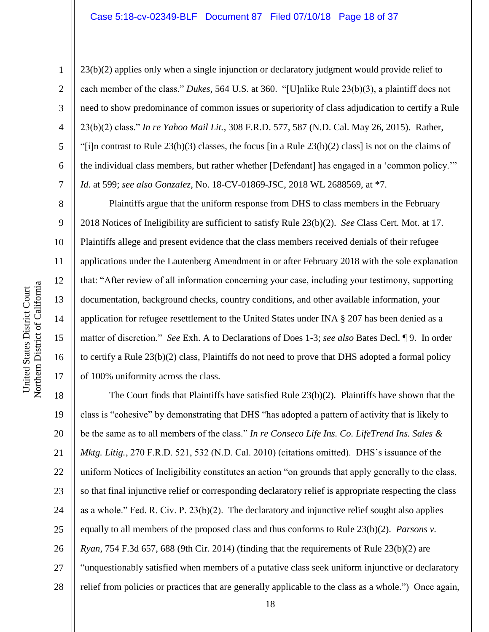23(b)(2) applies only when a single injunction or declaratory judgment would provide relief to each member of the class." *Dukes*, 564 U.S. at 360. "[U]nlike Rule 23(b)(3), a plaintiff does not need to show predominance of common issues or superiority of class adjudication to certify a Rule 23(b)(2) class." *In re Yahoo Mail Lit.*, 308 F.R.D. 577, 587 (N.D. Cal. May 26, 2015). Rather, "[i]n contrast to Rule 23(b)(3) classes, the focus [in a Rule 23(b)(2) class] is not on the claims of the individual class members, but rather whether [Defendant] has engaged in a 'common policy.'" *Id*. at 599; *see also Gonzalez*, No. 18-CV-01869-JSC, 2018 WL 2688569, at \*7.

Plaintiffs argue that the uniform response from DHS to class members in the February 2018 Notices of Ineligibility are sufficient to satisfy Rule 23(b)(2). *See* Class Cert. Mot. at 17. Plaintiffs allege and present evidence that the class members received denials of their refugee applications under the Lautenberg Amendment in or after February 2018 with the sole explanation that: "After review of all information concerning your case, including your testimony, supporting documentation, background checks, country conditions, and other available information, your application for refugee resettlement to the United States under INA § 207 has been denied as a matter of discretion." *See* Exh. A to Declarations of Does 1-3; *see also* Bates Decl. ¶ 9. In order to certify a Rule 23(b)(2) class, Plaintiffs do not need to prove that DHS adopted a formal policy of 100% uniformity across the class.

18 19 20 21 22 23 24 25 26 27 28 The Court finds that Plaintiffs have satisfied Rule 23(b)(2). Plaintiffs have shown that the class is "cohesive" by demonstrating that DHS "has adopted a pattern of activity that is likely to be the same as to all members of the class." *In re Conseco Life Ins. Co. LifeTrend Ins. Sales & Mktg. Litig.*, 270 F.R.D. 521, 532 (N.D. Cal. 2010) (citations omitted). DHS's issuance of the uniform Notices of Ineligibility constitutes an action "on grounds that apply generally to the class, so that final injunctive relief or corresponding declaratory relief is appropriate respecting the class as a whole." Fed. R. Civ. P. 23(b)(2). The declaratory and injunctive relief sought also applies equally to all members of the proposed class and thus conforms to Rule 23(b)(2). *Parsons v. Ryan*, 754 F.3d 657, 688 (9th Cir. 2014) (finding that the requirements of Rule 23(b)(2) are "unquestionably satisfied when members of a putative class seek uniform injunctive or declaratory relief from policies or practices that are generally applicable to the class as a whole.") Once again,

1

2

3

4

5

6

7

8

9

10

11

12

13

14

15

16

17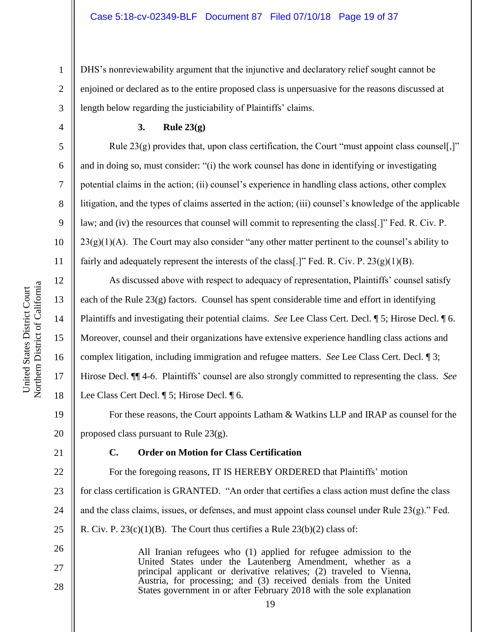2 3 DHS's nonreviewability argument that the injunctive and declaratory relief sought cannot be enjoined or declared as to the entire proposed class is unpersuasive for the reasons discussed at length below regarding the justiciability of Plaintiffs' claims.

**3. Rule 23(g)**

Rule 23(g) provides that, upon class certification, the Court "must appoint class counsel[,]" and in doing so, must consider: "(i) the work counsel has done in identifying or investigating potential claims in the action; (ii) counsel's experience in handling class actions, other complex litigation, and the types of claims asserted in the action; (iii) counsel's knowledge of the applicable law; and (iv) the resources that counsel will commit to representing the class[.]" Fed. R. Civ. P.  $23(g)(1)(A)$ . The Court may also consider "any other matter pertinent to the counsel's ability to fairly and adequately represent the interests of the class[.]" Fed. R. Civ. P.  $23(g)(1)(B)$ .

As discussed above with respect to adequacy of representation, Plaintiffs' counsel satisfy each of the Rule  $23(g)$  factors. Counsel has spent considerable time and effort in identifying Plaintiffs and investigating their potential claims. *See* Lee Class Cert. Decl. ¶ 5; Hirose Decl. ¶ 6. Moreover, counsel and their organizations have extensive experience handling class actions and complex litigation, including immigration and refugee matters. *See* Lee Class Cert. Decl. ¶ 3; Hirose Decl. ¶¶ 4-6. Plaintiffs' counsel are also strongly committed to representing the class. *See*  Lee Class Cert Decl. ¶ 5; Hirose Decl. ¶ 6.

19 20 For these reasons, the Court appoints Latham & Watkins LLP and IRAP as counsel for the proposed class pursuant to Rule 23(g).

21

26

27

28

#### **C. Order on Motion for Class Certification**

22 23 24 25 For the foregoing reasons, IT IS HEREBY ORDERED that Plaintiffs' motion for class certification is GRANTED. "An order that certifies a class action must define the class and the class claims, issues, or defenses, and must appoint class counsel under Rule  $23(g)$ ." Fed. R. Civ. P.  $23(c)(1)(B)$ . The Court thus certifies a Rule  $23(b)(2)$  class of:

> All Iranian refugees who (1) applied for refugee admission to the United States under the Lautenberg Amendment, whether as a principal applicant or derivative relatives; (2) traveled to Vienna, Austria, for processing; and (3) received denials from the United States government in or after February 2018 with the sole explanation

1

4

5

6

7

8

9

10

11

12

13

14

15

16

17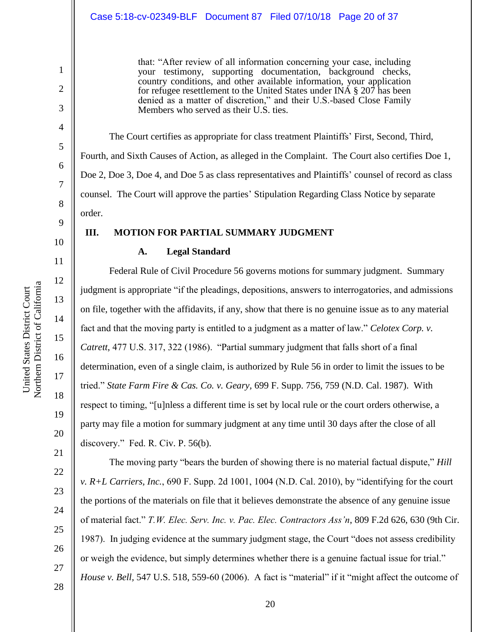#### Case 5:18-cv-02349-BLF Document 87 Filed 07/10/18 Page 20 of 37

that: "After review of all information concerning your case, including your testimony, supporting documentation, background checks, country conditions, and other available information, your application for refugee resettlement to the United States under INA  $\S 207$  has been denied as a matter of discretion," and their U.S.-based Close Family Members who served as their U.S. ties.

The Court certifies as appropriate for class treatment Plaintiffs' First, Second, Third, Fourth, and Sixth Causes of Action, as alleged in the Complaint. The Court also certifies Doe 1, Doe 2, Doe 3, Doe 4, and Doe 5 as class representatives and Plaintiffs' counsel of record as class counsel. The Court will approve the parties' Stipulation Regarding Class Notice by separate order.

# **III. MOTION FOR PARTIAL SUMMARY JUDGMENT**

# **A. Legal Standard**

Federal Rule of Civil Procedure 56 governs motions for summary judgment. Summary judgment is appropriate "if the pleadings, depositions, answers to interrogatories, and admissions on file, together with the affidavits, if any, show that there is no genuine issue as to any material fact and that the moving party is entitled to a judgment as a matter of law." *Celotex Corp. v. Catrett*, 477 U.S. 317, 322 (1986). "Partial summary judgment that falls short of a final determination, even of a single claim, is authorized by Rule 56 in order to limit the issues to be tried." *State Farm Fire & Cas. Co. v. Geary,* 699 F. Supp. 756, 759 (N.D. Cal. 1987). With respect to timing, "[u]nless a different time is set by local rule or the court orders otherwise, a party may file a motion for summary judgment at any time until 30 days after the close of all discovery." Fed. R. Civ. P. 56(b).

The moving party "bears the burden of showing there is no material factual dispute," *Hill v. R+L Carriers, Inc.*, 690 F. Supp. 2d 1001, 1004 (N.D. Cal. 2010), by "identifying for the court the portions of the materials on file that it believes demonstrate the absence of any genuine issue of material fact." *T.W. Elec. Serv. Inc. v. Pac. Elec. Contractors Ass'n*, 809 F.2d 626, 630 (9th Cir. 1987). In judging evidence at the summary judgment stage, the Court "does not assess credibility or weigh the evidence, but simply determines whether there is a genuine factual issue for trial." *House v. Bell,* 547 U.S. 518, 559-60 (2006). A fact is "material" if it "might affect the outcome of

1

2

3

4

5

6

7

8

9

10

11

12

13

14

15

16

17

18

27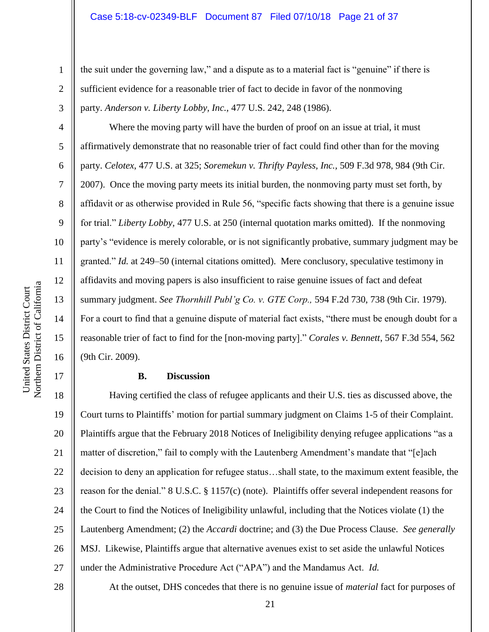the suit under the governing law," and a dispute as to a material fact is "genuine" if there is sufficient evidence for a reasonable trier of fact to decide in favor of the nonmoving party. *Anderson v. Liberty Lobby, Inc.,* 477 U.S. 242, 248 (1986).

Where the moving party will have the burden of proof on an issue at trial, it must affirmatively demonstrate that no reasonable trier of fact could find other than for the moving party. *Celotex*, 477 U.S. at 325; *Soremekun v. Thrifty Payless, Inc.,* 509 F.3d 978, 984 (9th Cir. 2007). Once the moving party meets its initial burden, the nonmoving party must set forth, by affidavit or as otherwise provided in Rule 56, "specific facts showing that there is a genuine issue for trial." *Liberty Lobby,* 477 U.S. at 250 (internal quotation marks omitted). If the nonmoving party's "evidence is merely colorable, or is not significantly probative, summary judgment may be granted." *Id.* at 249–50 (internal citations omitted). Mere conclusory, speculative testimony in affidavits and moving papers is also insufficient to raise genuine issues of fact and defeat summary judgment. *See Thornhill Publ'g Co. v. GTE Corp.,* 594 F.2d 730, 738 (9th Cir. 1979). For a court to find that a genuine dispute of material fact exists, "there must be enough doubt for a reasonable trier of fact to find for the [non-moving party]." *Corales v. Bennett*, 567 F.3d 554, 562 (9th Cir. 2009).

#### **B. Discussion**

18 19 20 21 22 23 24 25 26 27 Having certified the class of refugee applicants and their U.S. ties as discussed above, the Court turns to Plaintiffs' motion for partial summary judgment on Claims 1-5 of their Complaint. Plaintiffs argue that the February 2018 Notices of Ineligibility denying refugee applications "as a matter of discretion," fail to comply with the Lautenberg Amendment's mandate that "[e]ach decision to deny an application for refugee status…shall state, to the maximum extent feasible, the reason for the denial." 8 U.S.C. § 1157(c) (note). Plaintiffs offer several independent reasons for the Court to find the Notices of Ineligibility unlawful, including that the Notices violate (1) the Lautenberg Amendment; (2) the *Accardi* doctrine; and (3) the Due Process Clause. *See generally*  MSJ. Likewise, Plaintiffs argue that alternative avenues exist to set aside the unlawful Notices under the Administrative Procedure Act ("APA") and the Mandamus Act. *Id.* 

1

2

3

4

5

6

7

8

9

10

11

12

13

14

15

16

17

28

At the outset, DHS concedes that there is no genuine issue of *material* fact for purposes of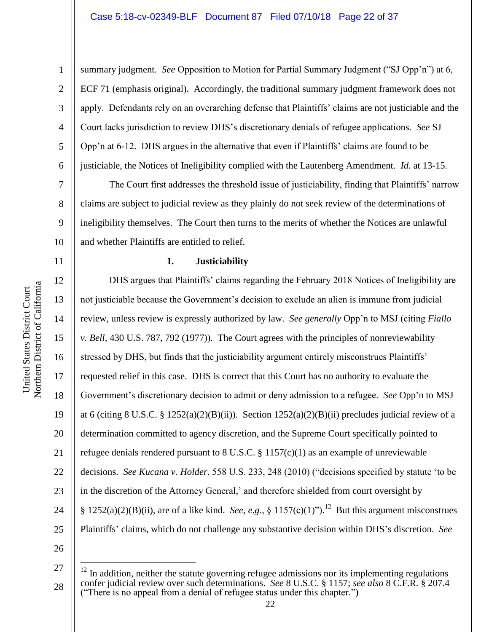9

10

11

12

13

14

15

16

17

18

19

20

21

22

23

24

25

1

summary judgment. *See* Opposition to Motion for Partial Summary Judgment ("SJ Opp'n") at 6, ECF 71 (emphasis original). Accordingly, the traditional summary judgment framework does not apply. Defendants rely on an overarching defense that Plaintiffs' claims are not justiciable and the Court lacks jurisdiction to review DHS's discretionary denials of refugee applications. *See* SJ Opp'n at 6-12. DHS argues in the alternative that even if Plaintiffs' claims are found to be justiciable, the Notices of Ineligibility complied with the Lautenberg Amendment. *Id.* at 13-15.

The Court first addresses the threshold issue of justiciability, finding that Plaintiffs' narrow claims are subject to judicial review as they plainly do not seek review of the determinations of ineligibility themselves. The Court then turns to the merits of whether the Notices are unlawful and whether Plaintiffs are entitled to relief.

#### **1. Justiciability**

DHS argues that Plaintiffs' claims regarding the February 2018 Notices of Ineligibility are not justiciable because the Government's decision to exclude an alien is immune from judicial review, unless review is expressly authorized by law. *See generally* Opp'n to MSJ (citing *Fiallo v. Bell*, 430 U.S. 787, 792 (1977)). The Court agrees with the principles of nonreviewability stressed by DHS, but finds that the justiciability argument entirely misconstrues Plaintiffs' requested relief in this case. DHS is correct that this Court has no authority to evaluate the Government's discretionary decision to admit or deny admission to a refugee. *See* Opp'n to MSJ at 6 (citing 8 U.S.C. § 1252(a)(2)(B)(ii)). Section  $1252(a)(2)(B)(ii)$  precludes judicial review of a determination committed to agency discretion, and the Supreme Court specifically pointed to refugee denials rendered pursuant to 8 U.S.C. § 1157(c)(1) as an example of unreviewable decisions. *See Kucana v. Holder*, 558 U.S. 233, 248 (2010) ("decisions specified by statute 'to be in the discretion of the Attorney General,' and therefore shielded from court oversight by §  $1252(a)(2)(B)(ii)$ , are of a like kind. *See*, *e.g.*, §  $1157(c)(1)$ ").<sup>12</sup> But this argument misconstrues Plaintiffs' claims, which do not challenge any substantive decision within DHS's discretion. *See* 

26

27

 $\overline{a}$ 

28

Northern District of California Northern District of California United States District Court United States District Court

 $12$  In addition, neither the statute governing refugee admissions nor its implementing regulations confer judicial review over such determinations. *See* 8 U.S.C. § 1157; *see also* 8 C.F.R. § 207.4 ("There is no appeal from a denial of refugee status under this chapter.")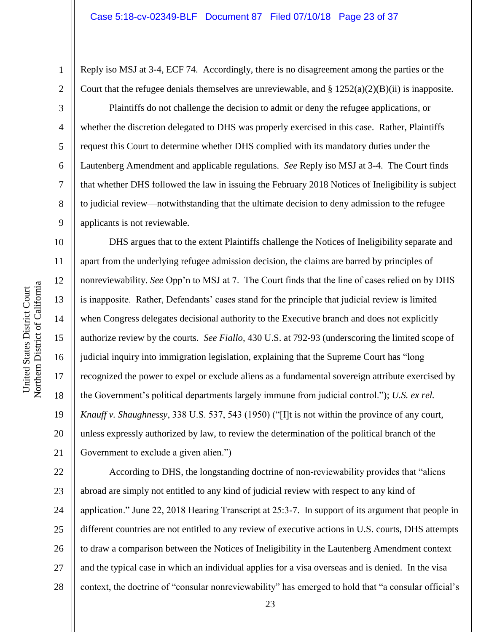Reply iso MSJ at 3-4, ECF 74. Accordingly, there is no disagreement among the parties or the Court that the refugee denials themselves are unreviewable, and  $\S 1252(a)(2)(B)(ii)$  is inapposite.

Plaintiffs do not challenge the decision to admit or deny the refugee applications, or whether the discretion delegated to DHS was properly exercised in this case. Rather, Plaintiffs request this Court to determine whether DHS complied with its mandatory duties under the Lautenberg Amendment and applicable regulations. *See* Reply iso MSJ at 3-4. The Court finds that whether DHS followed the law in issuing the February 2018 Notices of Ineligibility is subject to judicial review—notwithstanding that the ultimate decision to deny admission to the refugee applicants is not reviewable.

DHS argues that to the extent Plaintiffs challenge the Notices of Ineligibility separate and apart from the underlying refugee admission decision, the claims are barred by principles of nonreviewability. *See* Opp'n to MSJ at 7. The Court finds that the line of cases relied on by DHS is inapposite. Rather, Defendants' cases stand for the principle that judicial review is limited when Congress delegates decisional authority to the Executive branch and does not explicitly authorize review by the courts. *See Fiallo*, 430 U.S. at 792-93 (underscoring the limited scope of judicial inquiry into immigration legislation, explaining that the Supreme Court has "long recognized the power to expel or exclude aliens as a fundamental sovereign attribute exercised by the Government's political departments largely immune from judicial control."); *U.S. ex rel. Knauff v. Shaughnessy*, 338 U.S. 537, 543 (1950) ("[I]t is not within the province of any court, unless expressly authorized by law, to review the determination of the political branch of the Government to exclude a given alien.")

22 23 24 25 26 27 28 According to DHS, the longstanding doctrine of non-reviewability provides that "aliens abroad are simply not entitled to any kind of judicial review with respect to any kind of application." June 22, 2018 Hearing Transcript at 25:3-7. In support of its argument that people in different countries are not entitled to any review of executive actions in U.S. courts, DHS attempts to draw a comparison between the Notices of Ineligibility in the Lautenberg Amendment context and the typical case in which an individual applies for a visa overseas and is denied. In the visa context, the doctrine of "consular nonreviewability" has emerged to hold that "a consular official's

1

2

3

4

5

6

7

8

9

10

11

12

13

14

15

16

17

18

19

20

21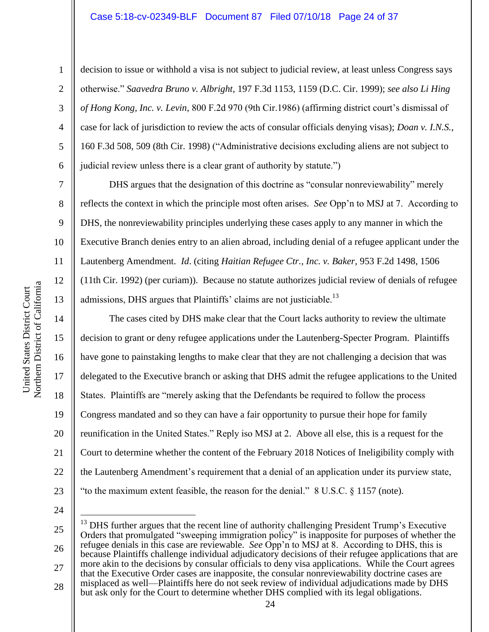#### Case 5:18-cv-02349-BLF Document 87 Filed 07/10/18 Page 24 of 37

decision to issue or withhold a visa is not subject to judicial review, at least unless Congress says otherwise." *Saavedra Bruno v. Albright*, 197 F.3d 1153, 1159 (D.C. Cir. 1999); *see also Li Hing of Hong Kong, Inc. v. Levin,* 800 F.2d 970 (9th Cir.1986) (affirming district court's dismissal of case for lack of jurisdiction to review the acts of consular officials denying visas); *Doan v. I.N.S.*, 160 F.3d 508, 509 (8th Cir. 1998) ("Administrative decisions excluding aliens are not subject to judicial review unless there is a clear grant of authority by statute.")

DHS argues that the designation of this doctrine as "consular nonreviewability" merely reflects the context in which the principle most often arises. *See* Opp'n to MSJ at 7. According to DHS, the nonreviewability principles underlying these cases apply to any manner in which the Executive Branch denies entry to an alien abroad, including denial of a refugee applicant under the Lautenberg Amendment. *Id*. (citing *Haitian Refugee Ctr., Inc. v. Baker*, 953 F.2d 1498, 1506 (11th Cir. 1992) (per curiam)). Because no statute authorizes judicial review of denials of refugee admissions, DHS argues that Plaintiffs' claims are not justiciable.<sup>13</sup>

The cases cited by DHS make clear that the Court lacks authority to review the ultimate decision to grant or deny refugee applications under the Lautenberg-Specter Program. Plaintiffs have gone to painstaking lengths to make clear that they are not challenging a decision that was delegated to the Executive branch or asking that DHS admit the refugee applications to the United States. Plaintiffs are "merely asking that the Defendants be required to follow the process Congress mandated and so they can have a fair opportunity to pursue their hope for family reunification in the United States." Reply iso MSJ at 2. Above all else, this is a request for the Court to determine whether the content of the February 2018 Notices of Ineligibility comply with the Lautenberg Amendment's requirement that a denial of an application under its purview state, "to the maximum extent feasible, the reason for the denial." 8 U.S.C. § 1157 (note).

24

 $\overline{a}$ 

23

25 26 27 28  $^{13}$  DHS further argues that the recent line of authority challenging President Trump's Executive Orders that promulgated "sweeping immigration policy" is inapposite for purposes of whether the refugee denials in this case are reviewable. *See Opp'n* to MSJ at 8. According to DHS, this is because Plaintiffs challenge individual adjudicatory decisions of their refugee applications that are more akin to the decisions by consular officials to deny visa applications. While the Court agrees that the Executive Order cases are inapposite, the consular nonreviewability doctrine cases are misplaced as well—Plaintiffs here do not seek review of individual adjudications made by DHS but ask only for the Court to determine whether DHS complied with its legal obligations.

1

2

3

4

5

6

7

8

9

10

11

12

13

14

15

16

17

18

19

20

21

22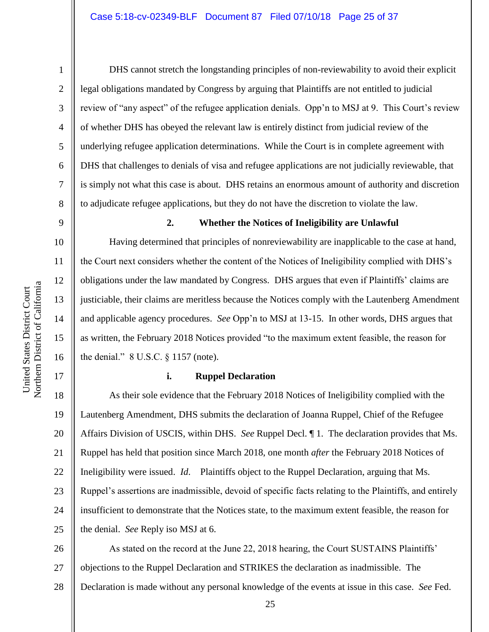DHS cannot stretch the longstanding principles of non-reviewability to avoid their explicit legal obligations mandated by Congress by arguing that Plaintiffs are not entitled to judicial review of "any aspect" of the refugee application denials. Opp'n to MSJ at 9. This Court's review of whether DHS has obeyed the relevant law is entirely distinct from judicial review of the underlying refugee application determinations. While the Court is in complete agreement with DHS that challenges to denials of visa and refugee applications are not judicially reviewable, that is simply not what this case is about. DHS retains an enormous amount of authority and discretion to adjudicate refugee applications, but they do not have the discretion to violate the law.

9

1

2

3

4

5

6

7

8

10

11

12

13

14

15

16

17

#### **2. Whether the Notices of Ineligibility are Unlawful**

Having determined that principles of nonreviewability are inapplicable to the case at hand, the Court next considers whether the content of the Notices of Ineligibility complied with DHS's obligations under the law mandated by Congress. DHS argues that even if Plaintiffs' claims are justiciable, their claims are meritless because the Notices comply with the Lautenberg Amendment and applicable agency procedures. *See* Opp'n to MSJ at 13-15. In other words, DHS argues that as written, the February 2018 Notices provided "to the maximum extent feasible, the reason for the denial." 8 U.S.C. § 1157 (note).

#### **i. Ruppel Declaration**

18 19 20 21 22 23 24 25 As their sole evidence that the February 2018 Notices of Ineligibility complied with the Lautenberg Amendment, DHS submits the declaration of Joanna Ruppel, Chief of the Refugee Affairs Division of USCIS, within DHS. *See* Ruppel Decl. ¶ 1. The declaration provides that Ms. Ruppel has held that position since March 2018, one month *after* the February 2018 Notices of Ineligibility were issued. *Id*. Plaintiffs object to the Ruppel Declaration, arguing that Ms. Ruppel's assertions are inadmissible, devoid of specific facts relating to the Plaintiffs, and entirely insufficient to demonstrate that the Notices state, to the maximum extent feasible, the reason for the denial. *See* Reply iso MSJ at 6.

26 27 28 As stated on the record at the June 22, 2018 hearing, the Court SUSTAINS Plaintiffs' objections to the Ruppel Declaration and STRIKES the declaration as inadmissible. The Declaration is made without any personal knowledge of the events at issue in this case. *See* Fed.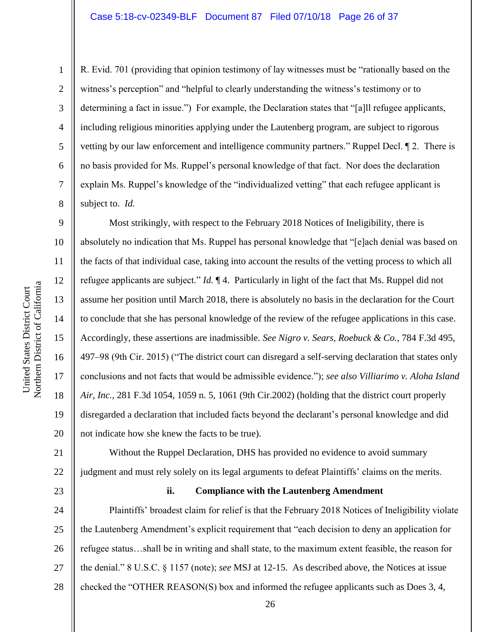R. Evid. 701 (providing that opinion testimony of lay witnesses must be "rationally based on the witness's perception" and "helpful to clearly understanding the witness's testimony or to determining a fact in issue.") For example, the Declaration states that "[a]ll refugee applicants, including religious minorities applying under the Lautenberg program, are subject to rigorous vetting by our law enforcement and intelligence community partners." Ruppel Decl. ¶ 2. There is no basis provided for Ms. Ruppel's personal knowledge of that fact. Nor does the declaration explain Ms. Ruppel's knowledge of the "individualized vetting" that each refugee applicant is subject to. *Id.* 

Most strikingly, with respect to the February 2018 Notices of Ineligibility, there is absolutely no indication that Ms. Ruppel has personal knowledge that "[e]ach denial was based on the facts of that individual case, taking into account the results of the vetting process to which all refugee applicants are subject." *Id.* ¶ 4. Particularly in light of the fact that Ms. Ruppel did not assume her position until March 2018, there is absolutely no basis in the declaration for the Court to conclude that she has personal knowledge of the review of the refugee applications in this case. Accordingly, these assertions are inadmissible. *See Nigro v. Sears, Roebuck & Co.*, 784 F.3d 495, 497–98 (9th Cir. 2015) ("The district court can disregard a self-serving declaration that states only conclusions and not facts that would be admissible evidence."); *see also Villiarimo v. Aloha Island Air, Inc.,* 281 F.3d 1054, 1059 n. 5, 1061 (9th Cir.2002) (holding that the district court properly disregarded a declaration that included facts beyond the declarant's personal knowledge and did not indicate how she knew the facts to be true).

20 21 22 Without the Ruppel Declaration, DHS has provided no evidence to avoid summary judgment and must rely solely on its legal arguments to defeat Plaintiffs' claims on the merits.

23

#### **ii. Compliance with the Lautenberg Amendment**

24 25 26 27 28 Plaintiffs' broadest claim for relief is that the February 2018 Notices of Ineligibility violate the Lautenberg Amendment's explicit requirement that "each decision to deny an application for refugee status…shall be in writing and shall state, to the maximum extent feasible, the reason for the denial." 8 U.S.C. § 1157 (note); *see* MSJ at 12-15. As described above, the Notices at issue checked the "OTHER REASON(S) box and informed the refugee applicants such as Does 3, 4,

1

2

3

4

5

6

7

8

9

10

11

12

13

14

15

16

17

18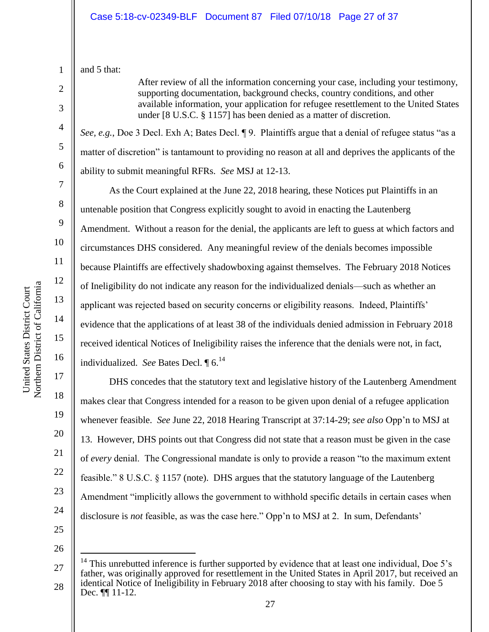1 and 5 that:

2

3

4

5

6

7

8

9

10

11

12

13

14

15

16

17

18

19

20

21

22

23

24

After review of all the information concerning your case, including your testimony, supporting documentation, background checks, country conditions, and other available information, your application for refugee resettlement to the United States under [8 U.S.C. § 1157] has been denied as a matter of discretion.

*See, e.g.*, Doe 3 Decl. Exh A; Bates Decl. ¶ 9. Plaintiffs argue that a denial of refugee status "as a matter of discretion" is tantamount to providing no reason at all and deprives the applicants of the ability to submit meaningful RFRs. *See* MSJ at 12-13.

As the Court explained at the June 22, 2018 hearing, these Notices put Plaintiffs in an untenable position that Congress explicitly sought to avoid in enacting the Lautenberg Amendment. Without a reason for the denial, the applicants are left to guess at which factors and circumstances DHS considered. Any meaningful review of the denials becomes impossible because Plaintiffs are effectively shadowboxing against themselves. The February 2018 Notices of Ineligibility do not indicate any reason for the individualized denials—such as whether an applicant was rejected based on security concerns or eligibility reasons. Indeed, Plaintiffs' evidence that the applications of at least 38 of the individuals denied admission in February 2018 received identical Notices of Ineligibility raises the inference that the denials were not, in fact, individualized. *See* Bates Decl. 16.<sup>14</sup>

DHS concedes that the statutory text and legislative history of the Lautenberg Amendment makes clear that Congress intended for a reason to be given upon denial of a refugee application whenever feasible. *See* June 22, 2018 Hearing Transcript at 37:14-29; *see also* Opp'n to MSJ at 13. However, DHS points out that Congress did not state that a reason must be given in the case of *every* denial. The Congressional mandate is only to provide a reason "to the maximum extent feasible." 8 U.S.C. § 1157 (note). DHS argues that the statutory language of the Lautenberg Amendment "implicitly allows the government to withhold specific details in certain cases when disclosure is *not* feasible, as was the case here." Opp'n to MSJ at 2. In sum, Defendants'

25 26

 $\overline{a}$ 

<sup>27</sup> 28 <sup>14</sup> This unrebutted inference is further supported by evidence that at least one individual, Doe 5's father, was originally approved for resettlement in the United States in April 2017, but received an identical Notice of Ineligibility in February 2018 after choosing to stay with his family. Doe 5 Dec.  $\P\P$  11-12.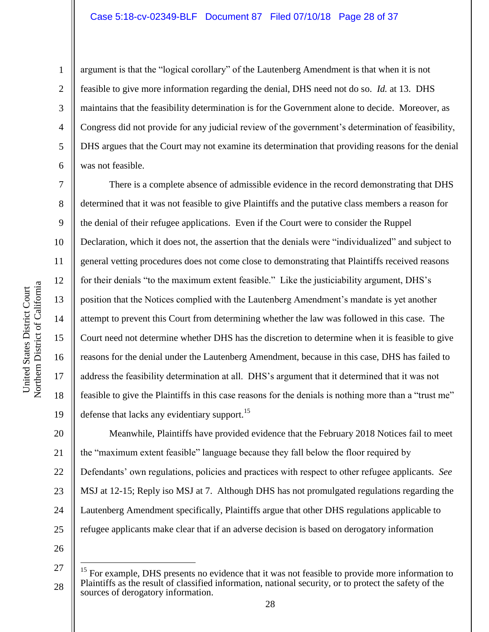2

3

4

5

6

7

8

9

10

11

12

13

14

15

16

17

18

19

argument is that the "logical corollary" of the Lautenberg Amendment is that when it is not feasible to give more information regarding the denial, DHS need not do so. *Id.* at 13. DHS maintains that the feasibility determination is for the Government alone to decide. Moreover, as Congress did not provide for any judicial review of the government's determination of feasibility, DHS argues that the Court may not examine its determination that providing reasons for the denial was not feasible.

There is a complete absence of admissible evidence in the record demonstrating that DHS determined that it was not feasible to give Plaintiffs and the putative class members a reason for the denial of their refugee applications. Even if the Court were to consider the Ruppel Declaration, which it does not, the assertion that the denials were "individualized" and subject to general vetting procedures does not come close to demonstrating that Plaintiffs received reasons for their denials "to the maximum extent feasible." Like the justiciability argument, DHS's position that the Notices complied with the Lautenberg Amendment's mandate is yet another attempt to prevent this Court from determining whether the law was followed in this case. The Court need not determine whether DHS has the discretion to determine when it is feasible to give reasons for the denial under the Lautenberg Amendment, because in this case, DHS has failed to address the feasibility determination at all. DHS's argument that it determined that it was not feasible to give the Plaintiffs in this case reasons for the denials is nothing more than a "trust me" defense that lacks any evidentiary support.<sup>15</sup>

20 21 22 23 24 25 Meanwhile, Plaintiffs have provided evidence that the February 2018 Notices fail to meet the "maximum extent feasible" language because they fall below the floor required by Defendants' own regulations, policies and practices with respect to other refugee applicants. *See*  MSJ at 12-15; Reply iso MSJ at 7. Although DHS has not promulgated regulations regarding the Lautenberg Amendment specifically, Plaintiffs argue that other DHS regulations applicable to refugee applicants make clear that if an adverse decision is based on derogatory information

26

 $\overline{a}$ 

<sup>27</sup> 28  $15$  For example, DHS presents no evidence that it was not feasible to provide more information to Plaintiffs as the result of classified information, national security, or to protect the safety of the sources of derogatory information.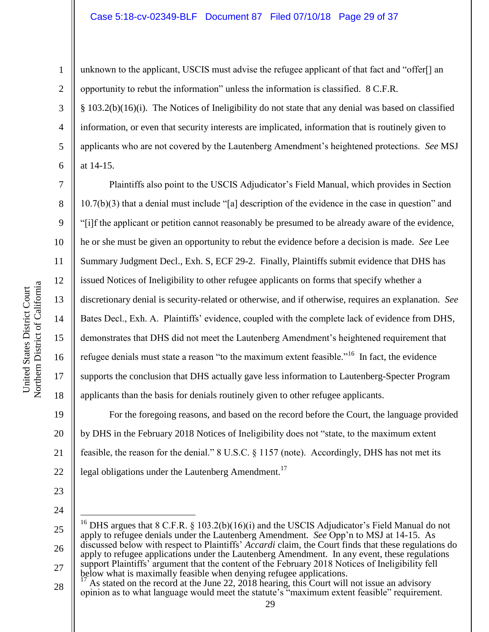#### Case 5:18-cv-02349-BLF Document 87 Filed 07/10/18 Page 29 of 37

unknown to the applicant, USCIS must advise the refugee applicant of that fact and "offer[] an opportunity to rebut the information" unless the information is classified. 8 C.F.R. § 103.2(b)(16)(i). The Notices of Ineligibility do not state that any denial was based on classified information, or even that security interests are implicated, information that is routinely given to applicants who are not covered by the Lautenberg Amendment's heightened protections. *See* MSJ at 14-15.

Plaintiffs also point to the USCIS Adjudicator's Field Manual, which provides in Section 10.7(b)(3) that a denial must include "[a] description of the evidence in the case in question" and "[i]f the applicant or petition cannot reasonably be presumed to be already aware of the evidence, he or she must be given an opportunity to rebut the evidence before a decision is made. *See* Lee Summary Judgment Decl., Exh. S, ECF 29-2. Finally, Plaintiffs submit evidence that DHS has issued Notices of Ineligibility to other refugee applicants on forms that specify whether a discretionary denial is security-related or otherwise, and if otherwise, requires an explanation. *See*  Bates Decl., Exh. A. Plaintiffs' evidence, coupled with the complete lack of evidence from DHS, demonstrates that DHS did not meet the Lautenberg Amendment's heightened requirement that refugee denials must state a reason "to the maximum extent feasible."<sup>16</sup> In fact, the evidence supports the conclusion that DHS actually gave less information to Lautenberg-Specter Program applicants than the basis for denials routinely given to other refugee applicants.

22 For the foregoing reasons, and based on the record before the Court, the language provided by DHS in the February 2018 Notices of Ineligibility does not "state, to the maximum extent feasible, the reason for the denial." 8 U.S.C. § 1157 (note). Accordingly, DHS has not met its legal obligations under the Lautenberg Amendment.<sup>17</sup>

- 23
- 24

 $\overline{a}$ 

25 26 27 <sup>16</sup> DHS argues that 8 C.F.R. § 103.2(b)(16)(i) and the USCIS Adjudicator's Field Manual do not apply to refugee denials under the Lautenberg Amendment. *See* Opp'n to MSJ at 14-15. As discussed below with respect to Plaintiffs' *Accardi* claim, the Court finds that these regulations do apply to refugee applications under the Lautenberg Amendment. In any event, these regulations support Plaintiffs' argument that the content of the February 2018 Notices of Ineligibility fell below what is maximally feasible when denying refugee applications.

28 As stated on the record at the June 22,  $2018$  hearing, this Court will not issue an advisory opinion as to what language would meet the statute's "maximum extent feasible" requirement.

1

2

3

4

5

6

7

8

9

10

11

12

13

14

15

16

17

18

19

20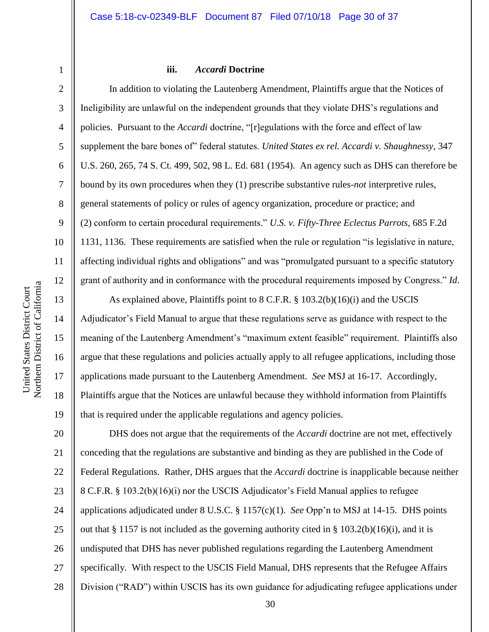3

4

5

6

7

8

9

10

11

12

13

14

15

16

17

18

19

#### **iii.** *Accardi* **Doctrine**

In addition to violating the Lautenberg Amendment, Plaintiffs argue that the Notices of Ineligibility are unlawful on the independent grounds that they violate DHS's regulations and policies. Pursuant to the *Accardi* doctrine, "[r]egulations with the force and effect of law supplement the bare bones of" federal statutes. *United States ex rel. Accardi v. Shaughnessy*, 347 U.S. 260, 265, 74 S. Ct. 499, 502, 98 L. Ed. 681 (1954). An agency such as DHS can therefore be bound by its own procedures when they (1) prescribe substantive rules-*not* interpretive rules, general statements of policy or rules of agency organization, procedure or practice; and (2) conform to certain procedural requirements." *U.S. v. Fifty-Three Eclectus Parrots*, 685 F.2d 1131, 1136. These requirements are satisfied when the rule or regulation "is legislative in nature, affecting individual rights and obligations" and was "promulgated pursuant to a specific statutory grant of authority and in conformance with the procedural requirements imposed by Congress." *Id*.

As explained above, Plaintiffs point to 8 C.F.R. § 103.2(b)(16)(i) and the USCIS Adjudicator's Field Manual to argue that these regulations serve as guidance with respect to the meaning of the Lautenberg Amendment's "maximum extent feasible" requirement. Plaintiffs also argue that these regulations and policies actually apply to all refugee applications, including those applications made pursuant to the Lautenberg Amendment. *See* MSJ at 16-17. Accordingly, Plaintiffs argue that the Notices are unlawful because they withhold information from Plaintiffs that is required under the applicable regulations and agency policies.

20 21 22 23 24 25 26 27 28 DHS does not argue that the requirements of the *Accardi* doctrine are not met, effectively conceding that the regulations are substantive and binding as they are published in the Code of Federal Regulations. Rather, DHS argues that the *Accardi* doctrine is inapplicable because neither 8 C.F.R. § 103.2(b)(16)(i) nor the USCIS Adjudicator's Field Manual applies to refugee applications adjudicated under 8 U.S.C. § 1157(c)(1). *See* Opp'n to MSJ at 14-15. DHS points out that § 1157 is not included as the governing authority cited in § 103.2(b)(16)(i), and it is undisputed that DHS has never published regulations regarding the Lautenberg Amendment specifically. With respect to the USCIS Field Manual, DHS represents that the Refugee Affairs Division ("RAD") within USCIS has its own guidance for adjudicating refugee applications under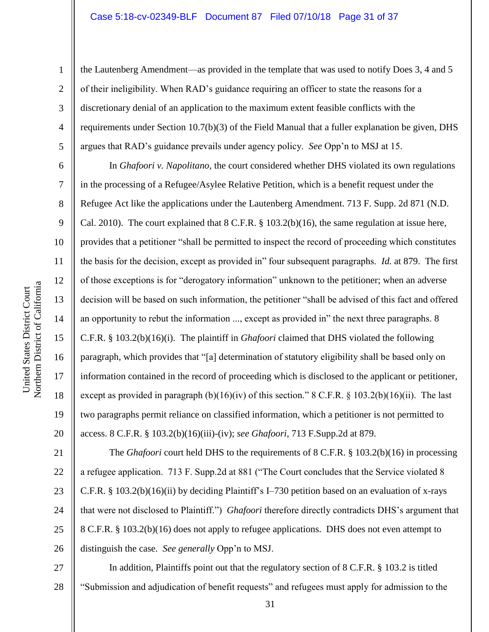#### Case 5:18-cv-02349-BLF Document 87 Filed 07/10/18 Page 31 of 37

Northern District of California Northern District of California United States District Court United States District Court

1

2

3

4

5

6

7

8

9

10

11

12

13

14

15

16

17

18

19

20

21

22

23

24

25

26

the Lautenberg Amendment—as provided in the template that was used to notify Does 3, 4 and 5 of their ineligibility. When RAD's guidance requiring an officer to state the reasons for a discretionary denial of an application to the maximum extent feasible conflicts with the requirements under Section 10.7(b)(3) of the Field Manual that a fuller explanation be given, DHS argues that RAD's guidance prevails under agency policy. *See* Opp'n to MSJ at 15.

In *Ghafoori v. Napolitano*, the court considered whether DHS violated its own regulations in the processing of a Refugee/Asylee Relative Petition, which is a benefit request under the Refugee Act like the applications under the Lautenberg Amendment. 713 F. Supp. 2d 871 (N.D. Cal. 2010). The court explained that 8 C.F.R. § 103.2(b)(16), the same regulation at issue here, provides that a petitioner "shall be permitted to inspect the record of proceeding which constitutes the basis for the decision, except as provided in" four subsequent paragraphs. *Id.* at 879. The first of those exceptions is for "derogatory information" unknown to the petitioner; when an adverse decision will be based on such information, the petitioner "shall be advised of this fact and offered an opportunity to rebut the information ..., except as provided in" the next three paragraphs. 8 C.F.R. § 103.2(b)(16)(i). The plaintiff in *Ghafoori* claimed that DHS violated the following paragraph, which provides that "[a] determination of statutory eligibility shall be based only on information contained in the record of proceeding which is disclosed to the applicant or petitioner, except as provided in paragraph  $(b)(16)(iv)$  of this section." 8 C.F.R. § 103.2(b)(16)(ii). The last two paragraphs permit reliance on classified information, which a petitioner is not permitted to access. 8 C.F.R. § 103.2(b)(16)(iii)-(iv); *see Ghafoori*, 713 F.Supp.2d at 879.

The *Ghafoori* court held DHS to the requirements of 8 C.F.R. § 103.2(b)(16) in processing a refugee application. 713 F. Supp.2d at 881 ("The Court concludes that the Service violated 8 C.F.R. § 103.2(b)(16)(ii) by deciding Plaintiff's I–730 petition based on an evaluation of x-rays that were not disclosed to Plaintiff.") *Ghafoori* therefore directly contradicts DHS's argument that 8 C.F.R. § 103.2(b)(16) does not apply to refugee applications. DHS does not even attempt to distinguish the case. *See generally* Opp'n to MSJ.

27 28 In addition, Plaintiffs point out that the regulatory section of 8 C.F.R. § 103.2 is titled "Submission and adjudication of benefit requests" and refugees must apply for admission to the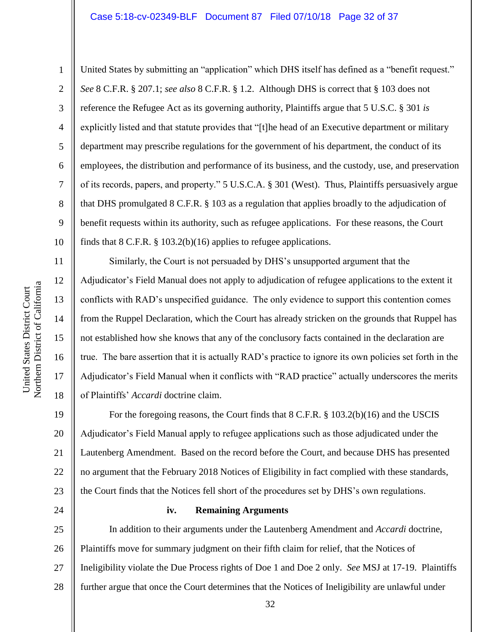6

7

8

9

10

11

12

13

14

15

16

17

18

24

1

United States by submitting an "application" which DHS itself has defined as a "benefit request." *See* 8 C.F.R. § 207.1; *see also* 8 C.F.R. § 1.2. Although DHS is correct that § 103 does not reference the Refugee Act as its governing authority, Plaintiffs argue that 5 U.S.C. § 301 *is*  explicitly listed and that statute provides that "[t]he head of an Executive department or military department may prescribe regulations for the government of his department, the conduct of its employees, the distribution and performance of its business, and the custody, use, and preservation of its records, papers, and property." 5 U.S.C.A. § 301 (West). Thus, Plaintiffs persuasively argue that DHS promulgated 8 C.F.R. § 103 as a regulation that applies broadly to the adjudication of benefit requests within its authority, such as refugee applications. For these reasons, the Court finds that 8 C.F.R. § 103.2(b)(16) applies to refugee applications.

Similarly, the Court is not persuaded by DHS's unsupported argument that the Adjudicator's Field Manual does not apply to adjudication of refugee applications to the extent it conflicts with RAD's unspecified guidance. The only evidence to support this contention comes from the Ruppel Declaration, which the Court has already stricken on the grounds that Ruppel has not established how she knows that any of the conclusory facts contained in the declaration are true. The bare assertion that it is actually RAD's practice to ignore its own policies set forth in the Adjudicator's Field Manual when it conflicts with "RAD practice" actually underscores the merits of Plaintiffs' *Accardi* doctrine claim.

19 20 21 22 23 For the foregoing reasons, the Court finds that 8 C.F.R. § 103.2(b)(16) and the USCIS Adjudicator's Field Manual apply to refugee applications such as those adjudicated under the Lautenberg Amendment. Based on the record before the Court, and because DHS has presented no argument that the February 2018 Notices of Eligibility in fact complied with these standards, the Court finds that the Notices fell short of the procedures set by DHS's own regulations.

#### **iv. Remaining Arguments**

25 26 27 28 In addition to their arguments under the Lautenberg Amendment and *Accardi* doctrine, Plaintiffs move for summary judgment on their fifth claim for relief, that the Notices of Ineligibility violate the Due Process rights of Doe 1 and Doe 2 only. *See* MSJ at 17-19. Plaintiffs further argue that once the Court determines that the Notices of Ineligibility are unlawful under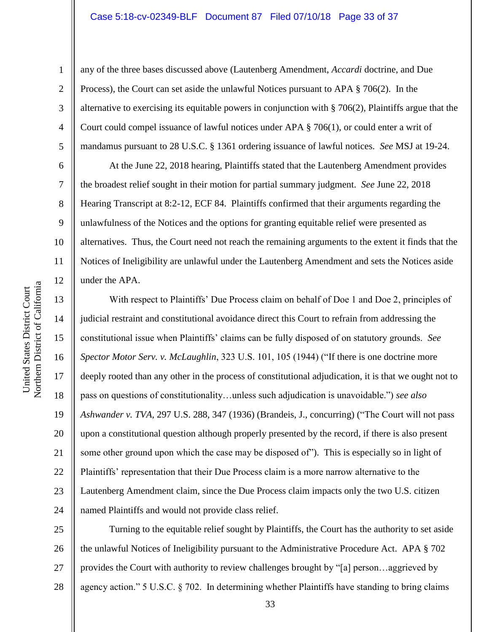#### Case 5:18-cv-02349-BLF Document 87 Filed 07/10/18 Page 33 of 37

10 11 12 Northern District of California Northern District of California 13 14 15 16

United States District Court

United States District Court

1

2

3

4

5

6

7

8

9

17

18

19

20

21

22

23

24

any of the three bases discussed above (Lautenberg Amendment, *Accardi* doctrine, and Due Process), the Court can set aside the unlawful Notices pursuant to APA § 706(2). In the alternative to exercising its equitable powers in conjunction with § 706(2), Plaintiffs argue that the Court could compel issuance of lawful notices under APA § 706(1), or could enter a writ of mandamus pursuant to 28 U.S.C. § 1361 ordering issuance of lawful notices. *See* MSJ at 19-24.

At the June 22, 2018 hearing, Plaintiffs stated that the Lautenberg Amendment provides the broadest relief sought in their motion for partial summary judgment. *See* June 22, 2018 Hearing Transcript at 8:2-12, ECF 84. Plaintiffs confirmed that their arguments regarding the unlawfulness of the Notices and the options for granting equitable relief were presented as alternatives. Thus, the Court need not reach the remaining arguments to the extent it finds that the Notices of Ineligibility are unlawful under the Lautenberg Amendment and sets the Notices aside under the APA.

With respect to Plaintiffs' Due Process claim on behalf of Doe 1 and Doe 2, principles of judicial restraint and constitutional avoidance direct this Court to refrain from addressing the constitutional issue when Plaintiffs' claims can be fully disposed of on statutory grounds. *See Spector Motor Serv. v. McLaughlin*, 323 U.S. 101, 105 (1944) ("If there is one doctrine more deeply rooted than any other in the process of constitutional adjudication, it is that we ought not to pass on questions of constitutionality…unless such adjudication is unavoidable.") *see also Ashwander v. TVA,* 297 U.S. 288, 347 (1936) (Brandeis, J., concurring) ("The Court will not pass upon a constitutional question although properly presented by the record, if there is also present some other ground upon which the case may be disposed of"). This is especially so in light of Plaintiffs' representation that their Due Process claim is a more narrow alternative to the Lautenberg Amendment claim, since the Due Process claim impacts only the two U.S. citizen named Plaintiffs and would not provide class relief.

25 26 27 28 Turning to the equitable relief sought by Plaintiffs, the Court has the authority to set aside the unlawful Notices of Ineligibility pursuant to the Administrative Procedure Act. APA § 702 provides the Court with authority to review challenges brought by "[a] person…aggrieved by agency action." 5 U.S.C. § 702. In determining whether Plaintiffs have standing to bring claims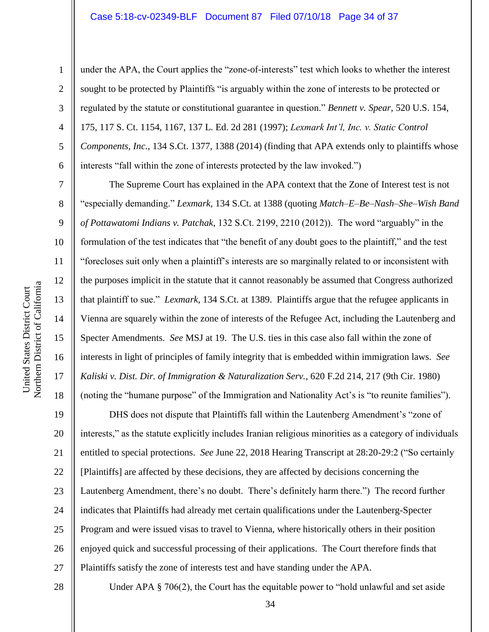under the APA, the Court applies the "zone-of-interests" test which looks to whether the interest sought to be protected by Plaintiffs "is arguably within the zone of interests to be protected or regulated by the statute or constitutional guarantee in question." *Bennett v. Spear*, 520 U.S. 154, 175, 117 S. Ct. 1154, 1167, 137 L. Ed. 2d 281 (1997); *Lexmark Int'l, Inc. v. Static Control Components, Inc.*, 134 S.Ct. 1377, 1388 (2014) (finding that APA extends only to plaintiffs whose interests "fall within the zone of interests protected by the law invoked.")

The Supreme Court has explained in the APA context that the Zone of Interest test is not "especially demanding." *Lexmark,* 134 S.Ct. at 1388 (quoting *Match–E–Be–Nash–She–Wish Band of Pottawatomi Indians v. Patchak,* 132 S.Ct. 2199, 2210 (2012)). The word "arguably" in the formulation of the test indicates that "the benefit of any doubt goes to the plaintiff," and the test "forecloses suit only when a plaintiff's interests are so marginally related to or inconsistent with the purposes implicit in the statute that it cannot reasonably be assumed that Congress authorized that plaintiff to sue." *Lexmark*, 134 S.Ct. at 1389. Plaintiffs argue that the refugee applicants in Vienna are squarely within the zone of interests of the Refugee Act, including the Lautenberg and Specter Amendments. *See* MSJ at 19. The U.S. ties in this case also fall within the zone of interests in light of principles of family integrity that is embedded within immigration laws. *See Kaliski v. Dist. Dir. of Immigration & Naturalization Serv.*, 620 F.2d 214, 217 (9th Cir. 1980) (noting the "humane purpose" of the Immigration and Nationality Act's is "to reunite families").

19 20 21 22 23 24 25 26 27 DHS does not dispute that Plaintiffs fall within the Lautenberg Amendment's "zone of interests," as the statute explicitly includes Iranian religious minorities as a category of individuals entitled to special protections. *See* June 22, 2018 Hearing Transcript at 28:20-29:2 ("So certainly [Plaintiffs] are affected by these decisions, they are affected by decisions concerning the Lautenberg Amendment, there's no doubt. There's definitely harm there.") The record further indicates that Plaintiffs had already met certain qualifications under the Lautenberg-Specter Program and were issued visas to travel to Vienna, where historically others in their position enjoyed quick and successful processing of their applications. The Court therefore finds that Plaintiffs satisfy the zone of interests test and have standing under the APA.

1

2

3

4

5

6

7

8

9

10

11

12

13

14

15

16

17

18

28

Under APA § 706(2), the Court has the equitable power to "hold unlawful and set aside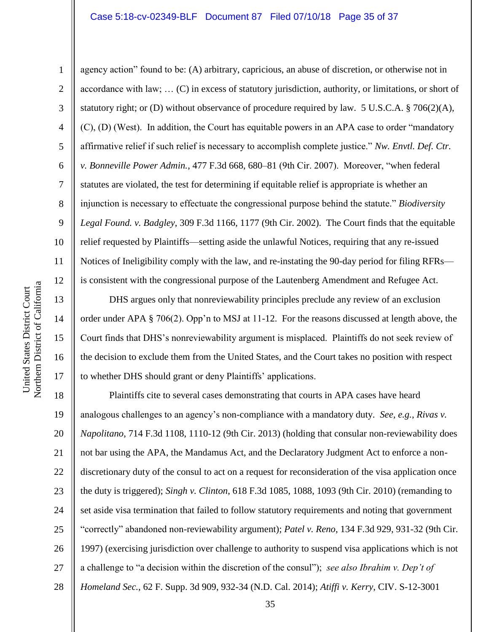#### Case 5:18-cv-02349-BLF Document 87 Filed 07/10/18 Page 35 of 37

11 12 Northern District of California Northern District of California United States District Court 13 14 15 16 17

United States District Court

1

2 3 4 5 6 7 8 9 10 agency action" found to be: (A) arbitrary, capricious, an abuse of discretion, or otherwise not in accordance with law; … (C) in excess of statutory jurisdiction, authority, or limitations, or short of statutory right; or (D) without observance of procedure required by law. 5 U.S.C.A. § 706(2)(A), (C), (D) (West). In addition, the Court has equitable powers in an APA case to order "mandatory affirmative relief if such relief is necessary to accomplish complete justice." *Nw. Envtl. Def. Ctr. v. Bonneville Power Admin.*, 477 F.3d 668, 680–81 (9th Cir. 2007). Moreover, "when federal statutes are violated, the test for determining if equitable relief is appropriate is whether an injunction is necessary to effectuate the congressional purpose behind the statute." *Biodiversity Legal Found. v. Badgley*, 309 F.3d 1166, 1177 (9th Cir. 2002). The Court finds that the equitable relief requested by Plaintiffs—setting aside the unlawful Notices, requiring that any re-issued Notices of Ineligibility comply with the law, and re-instating the 90-day period for filing RFRs is consistent with the congressional purpose of the Lautenberg Amendment and Refugee Act.

DHS argues only that nonreviewability principles preclude any review of an exclusion order under APA § 706(2). Opp'n to MSJ at 11-12. For the reasons discussed at length above, the Court finds that DHS's nonreviewability argument is misplaced. Plaintiffs do not seek review of the decision to exclude them from the United States, and the Court takes no position with respect to whether DHS should grant or deny Plaintiffs' applications.

18 19 20 21 22 23 24 25 26 27 28 Plaintiffs cite to several cases demonstrating that courts in APA cases have heard analogous challenges to an agency's non-compliance with a mandatory duty. *See, e.g.*, *Rivas v. Napolitano*, 714 F.3d 1108, 1110-12 (9th Cir. 2013) (holding that consular non-reviewability does not bar using the APA, the Mandamus Act, and the Declaratory Judgment Act to enforce a nondiscretionary duty of the consul to act on a request for reconsideration of the visa application once the duty is triggered); *Singh v. Clinton*, 618 F.3d 1085, 1088, 1093 (9th Cir. 2010) (remanding to set aside visa termination that failed to follow statutory requirements and noting that government "correctly" abandoned non-reviewability argument); *Patel v. Reno*, 134 F.3d 929, 931-32 (9th Cir. 1997) (exercising jurisdiction over challenge to authority to suspend visa applications which is not a challenge to "a decision within the discretion of the consul"); *see also Ibrahim v. Dep't of Homeland Sec.*, 62 F. Supp. 3d 909, 932-34 (N.D. Cal. 2014); *Atiffi v. Kerry*, CIV. S-12-3001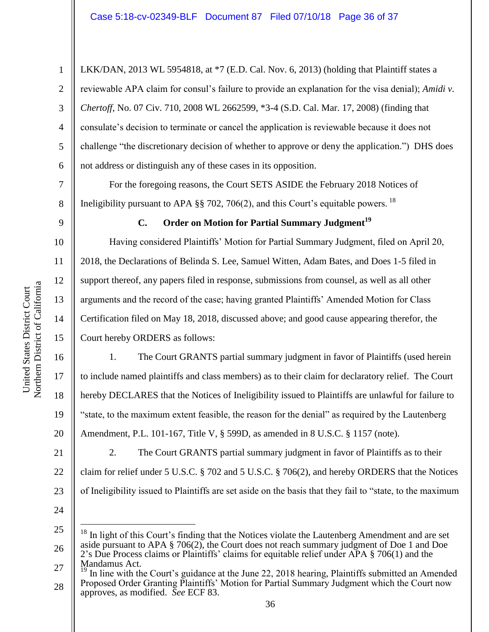LKK/DAN, 2013 WL 5954818, at \*7 (E.D. Cal. Nov. 6, 2013) (holding that Plaintiff states a reviewable APA claim for consul's failure to provide an explanation for the visa denial); *Amidi v. Chertoff*, No. 07 Civ. 710, 2008 WL 2662599, \*3-4 (S.D. Cal. Mar. 17, 2008) (finding that consulate's decision to terminate or cancel the application is reviewable because it does not challenge "the discretionary decision of whether to approve or deny the application.") DHS does not address or distinguish any of these cases in its opposition.

For the foregoing reasons, the Court SETS ASIDE the February 2018 Notices of Ineligibility pursuant to APA  $\S$ § 702, 706(2), and this Court's equitable powers. <sup>18</sup>

1

2

3

4

5

6

7

8

9

10

11

12

13

14

15

16

17

18

19

20

21

22

23

# **C. Order on Motion for Partial Summary Judgment<sup>19</sup>**

Having considered Plaintiffs' Motion for Partial Summary Judgment, filed on April 20, 2018, the Declarations of Belinda S. Lee, Samuel Witten, Adam Bates, and Does 1-5 filed in support thereof, any papers filed in response, submissions from counsel, as well as all other arguments and the record of the case; having granted Plaintiffs' Amended Motion for Class Certification filed on May 18, 2018, discussed above; and good cause appearing therefor, the Court hereby ORDERS as follows:

1. The Court GRANTS partial summary judgment in favor of Plaintiffs (used herein to include named plaintiffs and class members) as to their claim for declaratory relief. The Court hereby DECLARES that the Notices of Ineligibility issued to Plaintiffs are unlawful for failure to "state, to the maximum extent feasible, the reason for the denial" as required by the Lautenberg Amendment, P.L. 101-167, Title V, § 599D, as amended in 8 U.S.C. § 1157 (note).

2. The Court GRANTS partial summary judgment in favor of Plaintiffs as to their claim for relief under 5 U.S.C. § 702 and 5 U.S.C. § 706(2), and hereby ORDERS that the Notices of Ineligibility issued to Plaintiffs are set aside on the basis that they fail to "state, to the maximum

24

 $\overline{a}$ 

25 26 In light of this Court's finding that the Notices violate the Lautenberg Amendment and are set aside pursuant to APA § 706(2), the Court does not reach summary judgment of Doe 1 and Doe 2's Due Process claims or Plaintiffs' claims for equitable relief under APA § 706(1) and the Mandamus Act.

27 28 In line with the Court's guidance at the June 22, 2018 hearing, Plaintiffs submitted an Amended Proposed Order Granting Plaintiffs' Motion for Partial Summary Judgment which the Court now approves, as modified. *See* ECF 83.